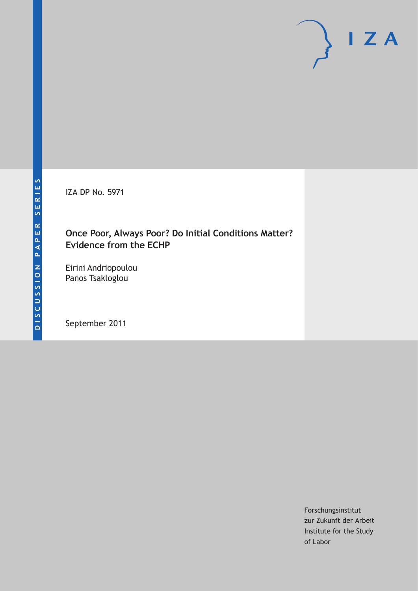IZA DP No. 5971

## **Once Poor, Always Poor? Do Initial Conditions Matter? Evidence from the ECHP**

Eirini Andriopoulou Panos Tsakloglou

September 2011

Forschungsinstitut zur Zukunft der Arbeit Institute for the Study of Labor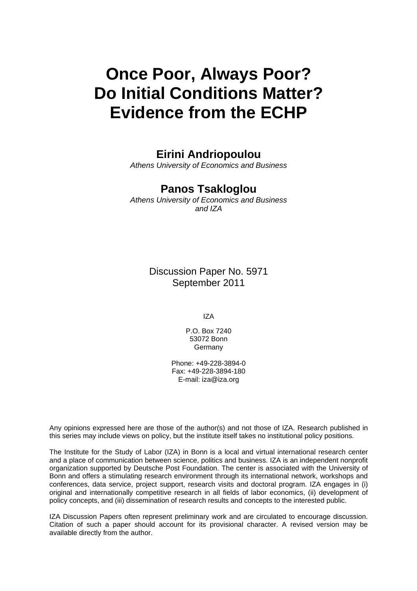# **Once Poor, Always Poor? Do Initial Conditions Matter? Evidence from the ECHP**

# **Eirini Andriopoulou**

*Athens University of Economics and Business* 

## **Panos Tsakloglou**

*Athens University of Economics and Business and IZA* 

> Discussion Paper No. 5971 September 2011

> > IZA

P.O. Box 7240 53072 Bonn Germany

Phone: +49-228-3894-0 Fax: +49-228-3894-180 E-mail: [iza@iza.org](mailto:iza@iza.org)

Any opinions expressed here are those of the author(s) and not those of IZA. Research published in this series may include views on policy, but the institute itself takes no institutional policy positions.

The Institute for the Study of Labor (IZA) in Bonn is a local and virtual international research center and a place of communication between science, politics and business. IZA is an independent nonprofit organization supported by Deutsche Post Foundation. The center is associated with the University of Bonn and offers a stimulating research environment through its international network, workshops and conferences, data service, project support, research visits and doctoral program. IZA engages in (i) original and internationally competitive research in all fields of labor economics, (ii) development of policy concepts, and (iii) dissemination of research results and concepts to the interested public.

IZA Discussion Papers often represent preliminary work and are circulated to encourage discussion. Citation of such a paper should account for its provisional character. A revised version may be available directly from the author.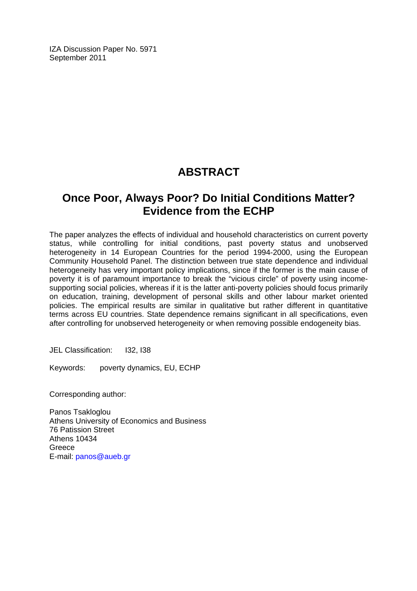IZA Discussion Paper No. 5971 September 2011

# **ABSTRACT**

# **Once Poor, Always Poor? Do Initial Conditions Matter? Evidence from the ECHP**

The paper analyzes the effects of individual and household characteristics on current poverty status, while controlling for initial conditions, past poverty status and unobserved heterogeneity in 14 European Countries for the period 1994-2000, using the European Community Household Panel. The distinction between true state dependence and individual heterogeneity has very important policy implications, since if the former is the main cause of poverty it is of paramount importance to break the "vicious circle" of poverty using incomesupporting social policies, whereas if it is the latter anti-poverty policies should focus primarily on education, training, development of personal skills and other labour market oriented policies. The empirical results are similar in qualitative but rather different in quantitative terms across EU countries. State dependence remains significant in all specifications, even after controlling for unobserved heterogeneity or when removing possible endogeneity bias.

JEL Classification: I32, I38

Keywords: poverty dynamics, EU, ECHP

Corresponding author:

Panos Tsakloglou Athens University of Economics and Business 76 Patission Street Athens 10434 Greece E-mail: [panos@aueb.gr](mailto:panos@aueb.gr)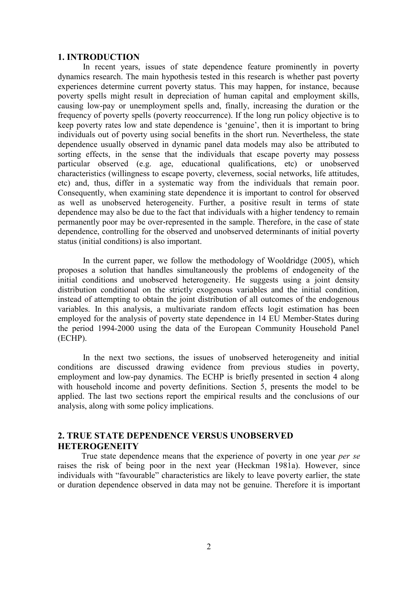#### **1. INTRODUCTION**

In recent years, issues of state dependence feature prominently in poverty dynamics research. The main hypothesis tested in this research is whether past poverty experiences determine current poverty status. This may happen, for instance, because poverty spells might result in depreciation of human capital and employment skills, causing low-pay or unemployment spells and, finally, increasing the duration or the frequency of poverty spells (poverty reoccurrence). If the long run policy objective is to keep poverty rates low and state dependence is 'genuine', then it is important to bring individuals out of poverty using social benefits in the short run. Nevertheless, the state dependence usually observed in dynamic panel data models may also be attributed to sorting effects, in the sense that the individuals that escape poverty may possess particular observed (e.g. age, educational qualifications, etc) or unobserved characteristics (willingness to escape poverty, cleverness, social networks, life attitudes, etc) and, thus, differ in a systematic way from the individuals that remain poor. Consequently, when examining state dependence it is important to control for observed as well as unobserved heterogeneity. Further, a positive result in terms of state dependence may also be due to the fact that individuals with a higher tendency to remain permanently poor may be over-represented in the sample. Therefore, in the case of state dependence, controlling for the observed and unobserved determinants of initial poverty status (initial conditions) is also important.

In the current paper, we follow the methodology of Wooldridge (2005), which proposes a solution that handles simultaneously the problems of endogeneity of the initial conditions and unobserved heterogeneity. He suggests using a joint density distribution conditional on the strictly exogenous variables and the initial condition, instead of attempting to obtain the joint distribution of all outcomes of the endogenous variables. In this analysis, a multivariate random effects logit estimation has been employed for the analysis of poverty state dependence in 14 EU Member-States during the period 1994-2000 using the data of the European Community Household Panel (ECHP).

In the next two sections, the issues of unobserved heterogeneity and initial conditions are discussed drawing evidence from previous studies in poverty, employment and low-pay dynamics. The ECHP is briefly presented in section 4 along with household income and poverty definitions. Section 5, presents the model to be applied. The last two sections report the empirical results and the conclusions of our analysis, along with some policy implications.

## **2. TRUE STATE DEPENDENCE VERSUS UNOBSERVED HETEROGENEITY**

True state dependence means that the experience of poverty in one year *per se* raises the risk of being poor in the next year (Heckman 1981a). However, since individuals with "favourable" characteristics are likely to leave poverty earlier, the state or duration dependence observed in data may not be genuine. Therefore it is important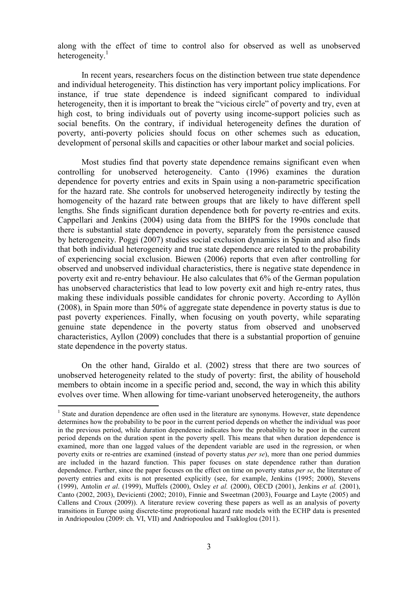along with the effect of time to control also for observed as well as unobserved heterogeneity. $<sup>1</sup>$ </sup>

In recent years, researchers focus on the distinction between true state dependence and individual heterogeneity. This distinction has very important policy implications. For instance, if true state dependence is indeed significant compared to individual heterogeneity, then it is important to break the "vicious circle" of poverty and try, even at high cost, to bring individuals out of poverty using income-support policies such as social benefits. On the contrary, if individual heterogeneity defines the duration of poverty, anti-poverty policies should focus on other schemes such as education, development of personal skills and capacities or other labour market and social policies.

Most studies find that poverty state dependence remains significant even when controlling for unobserved heterogeneity. Canto (1996) examines the duration dependence for poverty entries and exits in Spain using a non-parametric specification for the hazard rate. She controls for unobserved heterogeneity indirectly by testing the homogeneity of the hazard rate between groups that are likely to have different spell lengths. She finds significant duration dependence both for poverty re-entries and exits. Cappellari and Jenkins (2004) using data from the BHPS for the 1990s conclude that there is substantial state dependence in poverty, separately from the persistence caused by heterogeneity. Poggi (2007) studies social exclusion dynamics in Spain and also finds that both individual heterogeneity and true state dependence are related to the probability of experiencing social exclusion. Biewen (2006) reports that even after controlling for observed and unobserved individual characteristics, there is negative state dependence in poverty exit and re-entry behaviour. He also calculates that 6% of the German population has unobserved characteristics that lead to low poverty exit and high re-entry rates, thus making these individuals possible candidates for chronic poverty. According to Ayllón (2008), in Spain more than 50% of aggregate state dependence in poverty status is due to past poverty experiences. Finally, when focusing on youth poverty, while separating genuine state dependence in the poverty status from observed and unobserved characteristics, Ayllon (2009) concludes that there is a substantial proportion of genuine state dependence in the poverty status.

On the other hand, Giraldo et al. (2002) stress that there are two sources of unobserved heterogeneity related to the study of poverty: first, the ability of household members to obtain income in a specific period and, second, the way in which this ability evolves over time. When allowing for time-variant unobserved heterogeneity, the authors

<sup>&</sup>lt;sup>1</sup> State and duration dependence are often used in the literature are synonyms. However, state dependence determines how the probability to be poor in the current period depends on whether the individual was poor in the previous period, while duration dependence indicates how the probability to be poor in the current period depends on the duration spent in the poverty spell. This means that when duration dependence is examined, more than one lagged values of the dependent variable are used in the regression, or when poverty exits or re-entries are examined (instead of poverty status *per se*), more than one period dummies are included in the hazard function. This paper focuses on state dependence rather than duration dependence. Further, since the paper focuses on the effect on time on poverty status *per se*, the literature of poverty entries and exits is not presented explicitly (see, for example, Jenkins (1995; 2000), Stevens (1999), Antolin *et al*. (1999), Muffels (2000), Oxley *et al.* (2000), OECD (2001), Jenkins *et al.* (2001), Canto (2002, 2003), Devicienti (2002; 2010), Finnie and Sweetman (2003), Fouarge and Layte (2005) and Callens and Croux (2009)). A literature review covering these papers as well as an analysis of poverty transitions in Europe using discrete-time proprotional hazard rate models with the ECHP data is presented in Andriopoulou (2009: ch. VI, VII) and Andriopoulou and Tsakloglou (2011).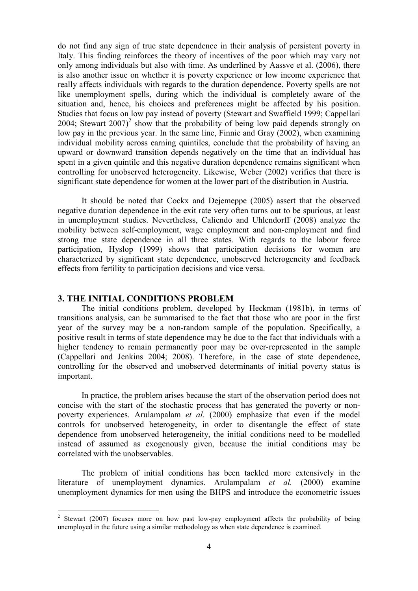do not find any sign of true state dependence in their analysis of persistent poverty in Italy. This finding reinforces the theory of incentives of the poor which may vary not only among individuals but also with time. As underlined by Aassve et al. (2006), there is also another issue on whether it is poverty experience or low income experience that really affects individuals with regards to the duration dependence. Poverty spells are not like unemployment spells, during which the individual is completely aware of the situation and, hence, his choices and preferences might be affected by his position. Studies that focus on low pay instead of poverty (Stewart and Swaffield 1999; Cappellari 2004; Stewart  $2007$ <sup>2</sup> show that the probability of being low paid depends strongly on low pay in the previous year. In the same line, Finnie and Gray (2002), when examining individual mobility across earning quintiles, conclude that the probability of having an upward or downward transition depends negatively on the time that an individual has spent in a given quintile and this negative duration dependence remains significant when controlling for unobserved heterogeneity. Likewise, Weber (2002) verifies that there is significant state dependence for women at the lower part of the distribution in Austria.

It should be noted that Cockx and Dejemeppe (2005) assert that the observed negative duration dependence in the exit rate very often turns out to be spurious, at least in unemployment studies. Nevertheless, Caliendo and Uhlendorff (2008) analyze the mobility between self-employment, wage employment and non-employment and find strong true state dependence in all three states. With regards to the labour force participation, Hyslop (1999) shows that participation decisions for women are characterized by significant state dependence, unobserved heterogeneity and feedback effects from fertility to participation decisions and vice versa.

#### **3. THE INITIAL CONDITIONS PROBLEM**

 $\overline{a}$ 

The initial conditions problem, developed by Heckman (1981b), in terms of transitions analysis, can be summarised to the fact that those who are poor in the first year of the survey may be a non-random sample of the population. Specifically, a positive result in terms of state dependence may be due to the fact that individuals with a higher tendency to remain permanently poor may be over-represented in the sample (Cappellari and Jenkins 2004; 2008). Therefore, in the case of state dependence, controlling for the observed and unobserved determinants of initial poverty status is important.

In practice, the problem arises because the start of the observation period does not concise with the start of the stochastic process that has generated the poverty or nonpoverty experiences. Arulampalam *et al*. (2000) emphasize that even if the model controls for unobserved heterogeneity, in order to disentangle the effect of state dependence from unobserved heterogeneity, the initial conditions need to be modelled instead of assumed as exogenously given, because the initial conditions may be correlated with the unobservables.

The problem of initial conditions has been tackled more extensively in the literature of unemployment dynamics. Arulampalam *et al.* (2000) examine unemployment dynamics for men using the BHPS and introduce the econometric issues

<sup>2</sup> Stewart (2007) focuses more on how past low-pay employment affects the probability of being unemployed in the future using a similar methodology as when state dependence is examined.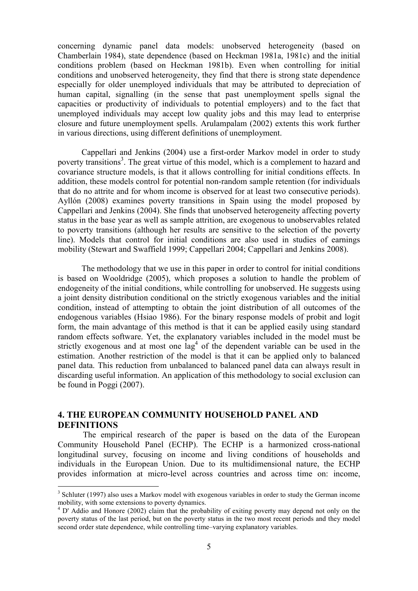concerning dynamic panel data models: unobserved heterogeneity (based on Chamberlain 1984), state dependence (based on Heckman 1981a, 1981c) and the initial conditions problem (based on Heckman 1981b). Even when controlling for initial conditions and unobserved heterogeneity, they find that there is strong state dependence especially for older unemployed individuals that may be attributed to depreciation of human capital, signalling (in the sense that past unemployment spells signal the capacities or productivity of individuals to potential employers) and to the fact that unemployed individuals may accept low quality jobs and this may lead to enterprise closure and future unemployment spells. Arulampalam (2002) extents this work further in various directions, using different definitions of unemployment.

Cappellari and Jenkins (2004) use a first-order Markov model in order to study poverty transitions<sup>3</sup>. The great virtue of this model, which is a complement to hazard and covariance structure models, is that it allows controlling for initial conditions effects. In addition, these models control for potential non-random sample retention (for individuals that do no attrite and for whom income is observed for at least two consecutive periods). Ayllón (2008) examines poverty transitions in Spain using the model proposed by Cappellari and Jenkins (2004). She finds that unobserved heterogeneity affecting poverty status in the base year as well as sample attrition, are exogenous to unobservables related to poverty transitions (although her results are sensitive to the selection of the poverty line). Models that control for initial conditions are also used in studies of earnings mobility (Stewart and Swaffield 1999; Cappellari 2004; Cappellari and Jenkins 2008).

The methodology that we use in this paper in order to control for initial conditions is based on Wooldridge (2005), which proposes a solution to handle the problem of endogeneity of the initial conditions, while controlling for unobserved. He suggests using a joint density distribution conditional on the strictly exogenous variables and the initial condition, instead of attempting to obtain the joint distribution of all outcomes of the endogenous variables (Hsiao 1986). For the binary response models of probit and logit form, the main advantage of this method is that it can be applied easily using standard random effects software. Yet, the explanatory variables included in the model must be strictly exogenous and at most one  $\log^4$  of the dependent variable can be used in the estimation. Another restriction of the model is that it can be applied only to balanced panel data. This reduction from unbalanced to balanced panel data can always result in discarding useful information. An application of this methodology to social exclusion can be found in Poggi (2007).

## **4. THE EUROPEAN COMMUNITY HOUSEHOLD PANEL AND DEFINITIONS**

 $\overline{a}$ 

The empirical research of the paper is based on the data of the European Community Household Panel (ECHP). The ECHP is a harmonized cross-national longitudinal survey, focusing on income and living conditions of households and individuals in the European Union. Due to its multidimensional nature, the ECHP provides information at micro-level across countries and across time on: income,

 $3$  Schluter (1997) also uses a Markov model with exogenous variables in order to study the German income mobility, with some extensions to poverty dynamics.

<sup>&</sup>lt;sup>4</sup> D' Addio and Honore (2002) claim that the probability of exiting poverty may depend not only on the poverty status of the last period, but on the poverty status in the two most recent periods and they model second order state dependence, while controlling time–varying explanatory variables.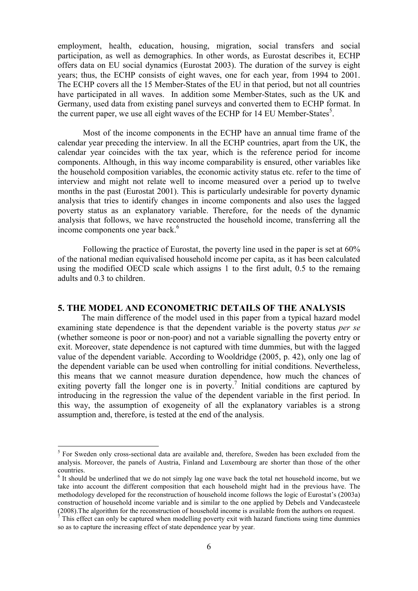employment, health, education, housing, migration, social transfers and social participation, as well as demographics. In other words, as Eurostat describes it, ECHP offers data on EU social dynamics (Eurostat 2003). The duration of the survey is eight years; thus, the ECHP consists of eight waves, one for each year, from 1994 to 2001. The ECHP covers all the 15 Member-States of the EU in that period, but not all countries have participated in all waves. In addition some Member-States, such as the UK and Germany, used data from existing panel surveys and converted them to ECHP format. In the current paper, we use all eight waves of the ECHP for 14 EU Member-States<sup>5</sup>.

Most of the income components in the ECHP have an annual time frame of the calendar year preceding the interview. In all the ECHP countries, apart from the UK, the calendar year coincides with the tax year, which is the reference period for income components. Although, in this way income comparability is ensured, other variables like the household composition variables, the economic activity status etc. refer to the time of interview and might not relate well to income measured over a period up to twelve months in the past (Eurostat 2001). This is particularly undesirable for poverty dynamic analysis that tries to identify changes in income components and also uses the lagged poverty status as an explanatory variable. Therefore, for the needs of the dynamic analysis that follows, we have reconstructed the household income, transferring all the income components one year back.<sup>6</sup>

Following the practice of Eurostat, the poverty line used in the paper is set at 60% of the national median equivalised household income per capita, as it has been calculated using the modified OECD scale which assigns 1 to the first adult, 0.5 to the remaing adults and 0.3 to children.

#### **5. THE MODEL AND ECONOMETRIC DETAILS OF THE ANALYSIS**

The main difference of the model used in this paper from a typical hazard model examining state dependence is that the dependent variable is the poverty status *per se* (whether someone is poor or non-poor) and not a variable signalling the poverty entry or exit. Moreover, state dependence is not captured with time dummies, but with the lagged value of the dependent variable. According to Wooldridge (2005, p. 42), only one lag of the dependent variable can be used when controlling for initial conditions. Nevertheless, this means that we cannot measure duration dependence, how much the chances of exiting poverty fall the longer one is in poverty.<sup>7</sup> Initial conditions are captured by introducing in the regression the value of the dependent variable in the first period. In this way, the assumption of exogeneity of all the explanatory variables is a strong assumption and, therefore, is tested at the end of the analysis.

<sup>&</sup>lt;sup>5</sup> For Sweden only cross-sectional data are available and, therefore, Sweden has been excluded from the analysis. Moreover, the panels of Austria, Finland and Luxembourg are shorter than those of the other countries.

<sup>&</sup>lt;sup>6</sup> It should be underlined that we do not simply lag one wave back the total net household income, but we take into account the different composition that each household might had in the previous have. The methodology developed for the reconstruction of household income follows the logic of Eurostat's (2003a) construction of household income variable and is similar to the one applied by Debels and Vandecasteele (2008).The algorithm for the reconstruction of household income is available from the authors on request.

 $<sup>7</sup>$  This effect can only be captured when modelling poverty exit with hazard functions using time dummies</sup> so as to capture the increasing effect of state dependence year by year.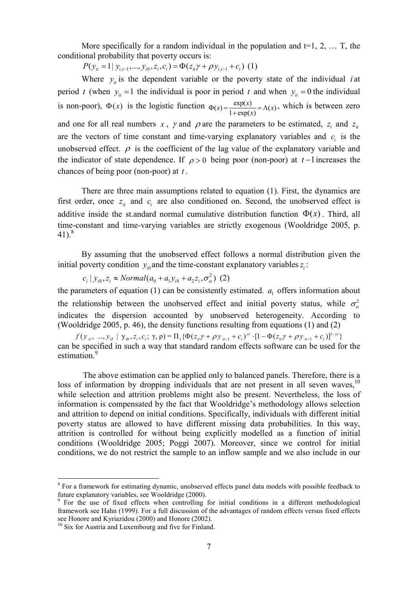More specifically for a random individual in the population and  $t=1, 2, \ldots$  T, the conditional probability that poverty occurs is:

 $P(y_{it} = 1 | y_{i,t-1},..., y_{i0}, z_i, c_i) = \Phi(z_{it} \gamma + \rho y_{i,t-1} + c_i)$  (1)

Where  $y_i$  is the dependent variable or the poverty state of the individual *i* at period *t* (when  $y_i = 1$  the individual is poor in period *t* and when  $y_i = 0$  the individual is non-poor),  $\Phi(x)$  is the logistic function  $\Phi(x) = \frac{\exp(x)}{1 + \exp(x)} = \Lambda(x)$ .  $\Phi(x) = \frac{\exp(x)}{1 + \exp(x)} = \Lambda(x)$ , which is between zero and one for all real numbers *x*, *y* and  $\rho$  are the parameters to be estimated, *z*<sub>*i*</sub> and *z*<sub>*i*</sub> are the vectors of time constant and time-varying explanatory variables and  $c_i$  is the unobserved effect.  $\rho$  is the coefficient of the lag value of the explanatory variable and the indicator of state dependence. If  $\rho > 0$  being poor (non-poor) at  $t-1$  increases the chances of being poor (non-poor) at *t* .

There are three main assumptions related to equation (1). First, the dynamics are first order, once  $z_i$  and  $c_i$  are also conditioned on. Second, the unobserved effect is additive inside the st.andard normal cumulative distribution function  $\Phi(x)$ . Third, all time-constant and time-varying variables are strictly exogenous (Wooldridge 2005, p.  $41)^8$ 

By assuming that the unobserved effect follows a normal distribution given the initial poverty condition  $y_{i0}$  and the time-constant explanatory variables  $z_i$ :

 $c_i | y_{i0}, z_i \approx Normal(a_0 + a_1 y_{i0} + a_2 z_i, \sigma^2_\alpha)$  (2)

the parameters of equation  $(1)$  can be consistently estimated.  $a_1$  offers information about the relationship between the unobserved effect and initial poverty status, while  $\sigma_{\alpha}^2$ indicates the dispersion accounted by unobserved heterogeneity. According to (Wooldridge 2005, p. 46), the density functions resulting from equations (1) and (2)

 $f(y_{ii}, ..., y_{iT} | y_{i0}, z_i, c_i; \gamma, \rho) = \Pi_t \{ \Phi(z_{ii} \gamma + \rho y_{i} + c_i)^{y} \cdot [1 - \Phi(z_{ii} \gamma + \rho y_{i} + c_i)]^{1 - yt} \}$ can be specified in such a way that standard random effects software can be used for the estimation.<sup>9</sup>

The above estimation can be applied only to balanced panels. Therefore, there is a loss of information by dropping individuals that are not present in all seven waves,  $10$ while selection and attrition problems might also be present. Nevertheless, the loss of information is compensated by the fact that Wooldridge's methodology allows selection and attrition to depend on initial conditions. Specifically, individuals with different initial poverty status are allowed to have different missing data probabilities. In this way, attrition is controlled for without being explicitly modelled as a function of initial conditions (Wooldridge 2005; Poggi 2007). Moreover, since we control for initial conditions, we do not restrict the sample to an inflow sample and we also include in our

<sup>&</sup>lt;sup>8</sup> For a framework for estimating dynamic, unobserved effects panel data models with possible feedback to future explanatory variables, see Wooldridge (2000).

<sup>&</sup>lt;sup>9</sup> For the use of fixed effects when controlling for initial conditions in a different methodological framework see Hahn (1999). For a full discussion of the advantages of random effects versus fixed effects see Honore and Kyriazidou (2000) and Honore (2002).

<sup>&</sup>lt;sup>10</sup> Six for Austria and Luxembourg and five for Finland.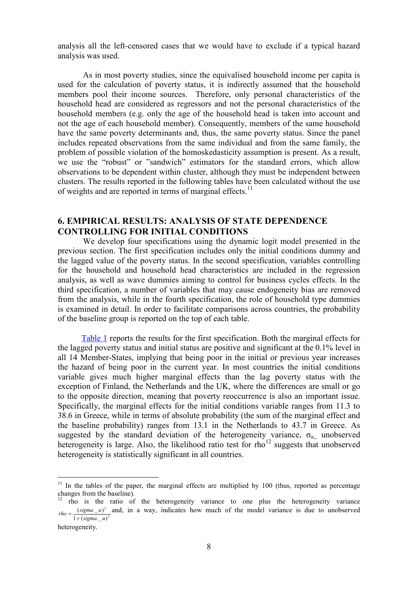analysis all the left-censored cases that we would have to exclude if a typical hazard analysis was used.

As in most poverty studies, since the equivalised household income per capita is used for the calculation of poverty status, it is indirectly assumed that the household members pool their income sources. Therefore, only personal characteristics of the household head are considered as regressors and not the personal characteristics of the household members (e.g. only the age of the household head is taken into account and not the age of each household member). Consequently, members of the same household have the same poverty determinants and, thus, the same poverty status. Since the panel includes repeated observations from the same individual and from the same family, the problem of possible violation of the homoskedasticity assumption is present. As a result, we use the "robust" or "sandwich" estimators for the standard errors, which allow observations to be dependent within cluster, although they must be independent between clusters. The results reported in the following tables have been calculated without the use of weights and are reported in terms of marginal effects.<sup>11</sup>

## **6. EMPIRICAL RESULTS: ANALYSIS OF STATE DEPENDENCE CONTROLLING FOR INITIAL CONDITIONS**

We develop four specifications using the dynamic logit model presented in the previous section. The first specification includes only the initial conditions dummy and the lagged value of the poverty status. In the second specification, variables controlling for the household and household head characteristics are included in the regression analysis, as well as wave dummies aiming to control for business cycles effects. In the third specification, a number of variables that may cause endogeneity bias are removed from the analysis, while in the fourth specification, the role of household type dummies is examined in detail. In order to facilitate comparisons across countries, the probability of the baseline group is reported on the top of each table.

Table 1 reports the results for the first specification. Both the marginal effects for the lagged poverty status and initial status are positive and significant at the 0.1% level in all 14 Member-States, implying that being poor in the initial or previous year increases the hazard of being poor in the current year. In most countries the initial conditions variable gives much higher marginal effects than the lag poverty status with the exception of Finland, the Netherlands and the UK, where the differences are small or go to the opposite direction, meaning that poverty reoccurrence is also an important issue. Specifically, the marginal effects for the initial conditions variable ranges from 11.3 to 38.6 in Greece, while in terms of absolute probability (the sum of the marginal effect and the baseline probability) ranges from 13.1 in the Netherlands to 43.7 in Greece. As suggested by the standard deviation of the heterogeneity variance,  $\sigma_{\alpha}$  unobserved heterogeneity is large. Also, the likelihood ratio test for  $rho^{12}$  suggests that unobserved heterogeneity is statistically significant in all countries.

 $11$  In the tables of the paper, the marginal effects are multiplied by 100 (thus, reported as percentage changes from the baseline).

<sup>12</sup> rho is the ratio of the heterogeneity variance to one plus the heterogeneity variance 2  $1 + ( sigma_u)$  $(sigma_u$ *sigma u*  $rho = \frac{(sigma_{\mu} u)^2}{1 + (sigma_{\mu} u)^2}$  and, in a way, indicates how much of the model variance is due to unobserved

heterogeneity.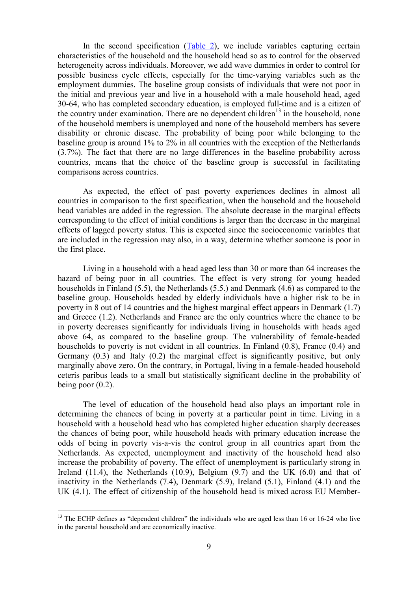In the second specification (Table 2), we include variables capturing certain characteristics of the household and the household head so as to control for the observed heterogeneity across individuals. Moreover, we add wave dummies in order to control for possible business cycle effects, especially for the time-varying variables such as the employment dummies. The baseline group consists of individuals that were not poor in the initial and previous year and live in a household with a male household head, aged 30-64, who has completed secondary education, is employed full-time and is a citizen of the country under examination. There are no dependent children<sup>13</sup> in the household, none of the household members is unemployed and none of the household members has severe disability or chronic disease. The probability of being poor while belonging to the baseline group is around 1% to 2% in all countries with the exception of the Netherlands (3.7%). The fact that there are no large differences in the baseline probability across countries, means that the choice of the baseline group is successful in facilitating comparisons across countries.

As expected, the effect of past poverty experiences declines in almost all countries in comparison to the first specification, when the household and the household head variables are added in the regression. The absolute decrease in the marginal effects corresponding to the effect of initial conditions is larger than the decrease in the marginal effects of lagged poverty status. This is expected since the socioeconomic variables that are included in the regression may also, in a way, determine whether someone is poor in the first place.

Living in a household with a head aged less than 30 or more than 64 increases the hazard of being poor in all countries. The effect is very strong for young headed households in Finland (5.5), the Netherlands (5.5.) and Denmark (4.6) as compared to the baseline group. Households headed by elderly individuals have a higher risk to be in poverty in 8 out of 14 countries and the highest marginal effect appears in Denmark (1.7) and Greece (1.2). Netherlands and France are the only countries where the chance to be in poverty decreases significantly for individuals living in households with heads aged above 64, as compared to the baseline group. The vulnerability of female-headed households to poverty is not evident in all countries. In Finland  $(0.8)$ , France  $(0.4)$  and Germany (0.3) and Italy (0.2) the marginal effect is significantly positive, but only marginally above zero. On the contrary, in Portugal, living in a female-headed household ceteris paribus leads to a small but statistically significant decline in the probability of being poor  $(0.2)$ .

The level of education of the household head also plays an important role in determining the chances of being in poverty at a particular point in time. Living in a household with a household head who has completed higher education sharply decreases the chances of being poor, while household heads with primary education increase the odds of being in poverty vis-a-vis the control group in all countries apart from the Netherlands. As expected, unemployment and inactivity of the household head also increase the probability of poverty. The effect of unemployment is particularly strong in Ireland  $(11.4)$ , the Netherlands  $(10.9)$ , Belgium  $(9.7)$  and the UK  $(6.0)$  and that of inactivity in the Netherlands (7.4), Denmark (5.9), Ireland (5.1), Finland (4.1) and the UK (4.1). The effect of citizenship of the household head is mixed across EU Member-

 $13$  The ECHP defines as "dependent children" the individuals who are aged less than 16 or 16-24 who live in the parental household and are economically inactive.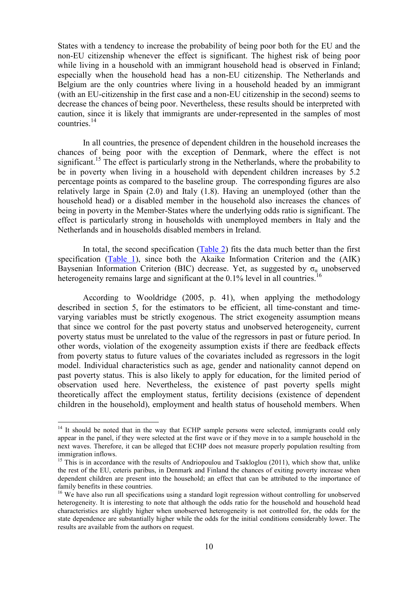States with a tendency to increase the probability of being poor both for the EU and the non-EU citizenship whenever the effect is significant. The highest risk of being poor while living in a household with an immigrant household head is observed in Finland; especially when the household head has a non-EU citizenship. The Netherlands and Belgium are the only countries where living in a household headed by an immigrant (with an EU-citizenship in the first case and a non-EU citizenship in the second) seems to decrease the chances of being poor. Nevertheless, these results should be interpreted with caution, since it is likely that immigrants are under-represented in the samples of most countries.<sup>14</sup>

In all countries, the presence of dependent children in the household increases the chances of being poor with the exception of Denmark, where the effect is not significant.<sup>15</sup> The effect is particularly strong in the Netherlands, where the probability to be in poverty when living in a household with dependent children increases by 5.2 percentage points as compared to the baseline group. The corresponding figures are also relatively large in Spain (2.0) and Italy (1.8). Having an unemployed (other than the household head) or a disabled member in the household also increases the chances of being in poverty in the Member-States where the underlying odds ratio is significant. The effect is particularly strong in households with unemployed members in Italy and the Netherlands and in households disabled members in Ireland.

In total, the second specification (Table 2) fits the data much better than the first specification (Table 1), since both the Akaike Information Criterion and the (AIK) Baysenian Information Criterion (BIC) decrease. Yet, as suggested by  $\sigma_{\alpha}$  unobserved heterogeneity remains large and significant at the 0.1% level in all countries.<sup>16</sup>

According to Wooldridge (2005, p. 41), when applying the methodology described in section 5, for the estimators to be efficient, all time-constant and timevarying variables must be strictly exogenous. The strict exogeneity assumption means that since we control for the past poverty status and unobserved heterogeneity, current poverty status must be unrelated to the value of the regressors in past or future period. In other words, violation of the exogeneity assumption exists if there are feedback effects from poverty status to future values of the covariates included as regressors in the logit model. Individual characteristics such as age, gender and nationality cannot depend on past poverty status. This is also likely to apply for education, for the limited period of observation used here. Nevertheless, the existence of past poverty spells might theoretically affect the employment status, fertility decisions (existence of dependent children in the household), employment and health status of household members. When

<sup>&</sup>lt;sup>14</sup> It should be noted that in the way that ECHP sample persons were selected, immigrants could only appear in the panel, if they were selected at the first wave or if they move in to a sample household in the next waves. Therefore, it can be alleged that ECHP does not measure properly population resulting from immigration inflows.

 $15$  This is in accordance with the results of Andriopoulou and Tsakloglou (2011), which show that, unlike the rest of the EU, ceteris paribus, in Denmark and Finland the chances of exiting poverty increase when dependent children are present into the household; an effect that can be attributed to the importance of family benefits in these countries.

<sup>&</sup>lt;sup>16</sup> We have also run all specifications using a standard logit regression without controlling for unobserved heterogeneity. It is interesting to note that although the odds ratio for the household and household head characteristics are slightly higher when unobserved heterogeneity is not controlled for, the odds for the state dependence are substantially higher while the odds for the initial conditions considerably lower. The results are available from the authors on request.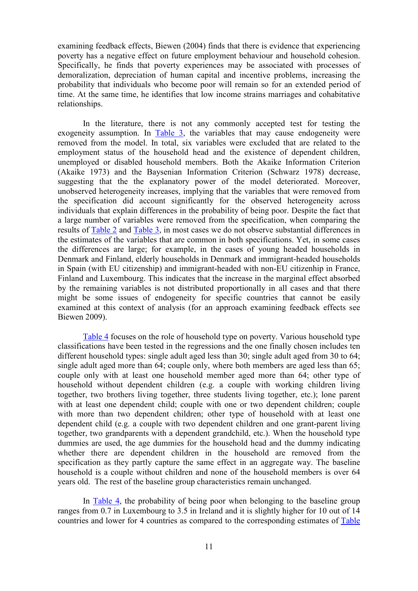examining feedback effects, Biewen (2004) finds that there is evidence that experiencing poverty has a negative effect on future employment behaviour and household cohesion. Specifically, he finds that poverty experiences may be associated with processes of demoralization, depreciation of human capital and incentive problems, increasing the probability that individuals who become poor will remain so for an extended period of time. At the same time, he identifies that low income strains marriages and cohabitative relationships.

In the literature, there is not any commonly accepted test for testing the exogeneity assumption. In  $Table 3$ , the variables that may cause endogeneity were removed from the model. In total, six variables were excluded that are related to the employment status of the household head and the existence of dependent children, unemployed or disabled household members. Both the Akaike Information Criterion (Akaike 1973) and the Baysenian Information Criterion (Schwarz 1978) decrease, suggesting that the the explanatory power of the model deteriorated. Moreover, unobserved heterogeneity increases, implying that the variables that were removed from the specification did account significantly for the observed heterogeneity across individuals that explain differences in the probability of being poor. Despite the fact that a large number of variables were removed from the specification, when comparing the results of Table 2 and Table 3, in most cases we do not observe substantial differences in the estimates of the variables that are common in both specifications. Yet, in some cases the differences are large; for example, in the cases of young headed households in Denmark and Finland, elderly households in Denmark and immigrant-headed households in Spain (with EU citizenship) and immigrant-headed with non-EU citizenhip in France, Finland and Luxembourg. This indicates that the increase in the marginal effect absorbed by the remaining variables is not distributed proportionally in all cases and that there might be some issues of endogeneity for specific countries that cannot be easily examined at this context of analysis (for an approach examining feedback effects see Biewen 2009).

Table 4 focuses on the role of household type on poverty. Various household type classifications have been tested in the regressions and the one finally chosen includes ten different household types: single adult aged less than 30; single adult aged from 30 to 64; single adult aged more than 64; couple only, where both members are aged less than 65; couple only with at least one household member aged more than 64; other type of household without dependent children (e.g. a couple with working children living together, two brothers living together, three students living together, etc.); lone parent with at least one dependent child; couple with one or two dependent children; couple with more than two dependent children; other type of household with at least one dependent child (e.g. a couple with two dependent children and one grant-parent living together, two grandparents with a dependent grandchild, etc.). When the household type dummies are used, the age dummies for the household head and the dummy indicating whether there are dependent children in the household are removed from the specification as they partly capture the same effect in an aggregate way. The baseline household is a couple without children and none of the household members is over 64 years old. The rest of the baseline group characteristics remain unchanged.

In Table 4, the probability of being poor when belonging to the baseline group ranges from 0.7 in Luxembourg to 3.5 in Ireland and it is slightly higher for 10 out of 14 countries and lower for 4 countries as compared to the corresponding estimates of Table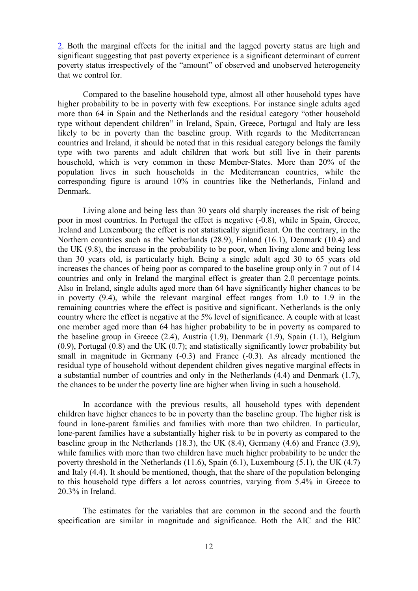2. Both the marginal effects for the initial and the lagged poverty status are high and significant suggesting that past poverty experience is a significant determinant of current poverty status irrespectively of the "amount" of observed and unobserved heterogeneity that we control for.

Compared to the baseline household type, almost all other household types have higher probability to be in poverty with few exceptions. For instance single adults aged more than 64 in Spain and the Netherlands and the residual category "other household type without dependent children" in Ireland, Spain, Greece, Portugal and Italy are less likely to be in poverty than the baseline group. With regards to the Mediterranean countries and Ireland, it should be noted that in this residual category belongs the family type with two parents and adult children that work but still live in their parents household, which is very common in these Member-States. More than 20% of the population lives in such households in the Mediterranean countries, while the corresponding figure is around 10% in countries like the Netherlands, Finland and Denmark.

Living alone and being less than 30 years old sharply increases the risk of being poor in most countries. In Portugal the effect is negative (-0.8), while in Spain, Greece, Ireland and Luxembourg the effect is not statistically significant. On the contrary, in the Northern countries such as the Netherlands (28.9), Finland (16.1), Denmark (10.4) and the UK (9.8), the increase in the probability to be poor, when living alone and being less than 30 years old, is particularly high. Being a single adult aged 30 to 65 years old increases the chances of being poor as compared to the baseline group only in 7 out of 14 countries and only in Ireland the marginal effect is greater than 2.0 percentage points. Also in Ireland, single adults aged more than 64 have significantly higher chances to be in poverty (9.4), while the relevant marginal effect ranges from 1.0 to 1.9 in the remaining countries where the effect is positive and significant. Netherlands is the only country where the effect is negative at the 5% level of significance. A couple with at least one member aged more than 64 has higher probability to be in poverty as compared to the baseline group in Greece (2.4), Austria (1.9), Denmark (1.9), Spain (1.1), Belgium (0.9), Portugal (0.8) and the UK (0.7); and statistically significantly lower probability but small in magnitude in Germany  $(-0.3)$  and France  $(-0.3)$ . As already mentioned the residual type of household without dependent children gives negative marginal effects in a substantial number of countries and only in the Netherlands (4.4) and Denmark (1.7), the chances to be under the poverty line are higher when living in such a household.

In accordance with the previous results, all household types with dependent children have higher chances to be in poverty than the baseline group. The higher risk is found in lone-parent families and families with more than two children. In particular, lone-parent families have a substantially higher risk to be in poverty as compared to the baseline group in the Netherlands (18.3), the UK (8.4), Germany (4.6) and France (3.9), while families with more than two children have much higher probability to be under the poverty threshold in the Netherlands (11.6), Spain (6.1), Luxembourg (5.1), the UK (4.7) and Italy (4.4). It should be mentioned, though, that the share of the population belonging to this household type differs a lot across countries, varying from 5.4% in Greece to 20.3% in Ireland.

The estimates for the variables that are common in the second and the fourth specification are similar in magnitude and significance. Both the AIC and the BIC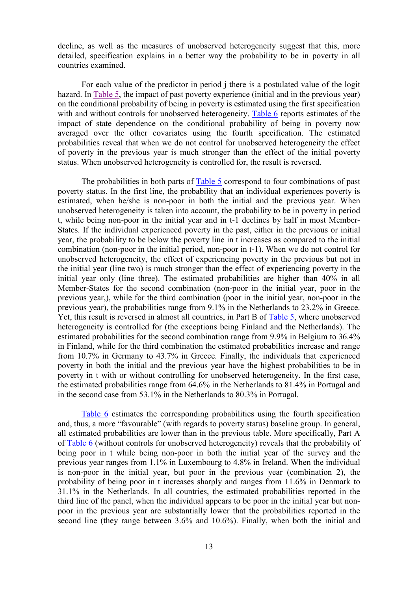decline, as well as the measures of unobserved heterogeneity suggest that this, more detailed, specification explains in a better way the probability to be in poverty in all countries examined.

For each value of the predictor in period j there is a postulated value of the logit hazard. In Table 5, the impact of past poverty experience (initial and in the previous year) on the conditional probability of being in poverty is estimated using the first specification with and without controls for unobserved heterogeneity. Table 6 reports estimates of the impact of state dependence on the conditional probability of being in poverty now averaged over the other covariates using the fourth specification. The estimated probabilities reveal that when we do not control for unobserved heterogeneity the effect of poverty in the previous year is much stronger than the effect of the initial poverty status. When unobserved heterogeneity is controlled for, the result is reversed.

The probabilities in both parts of Table 5 correspond to four combinations of past poverty status. In the first line, the probability that an individual experiences poverty is estimated, when he/she is non-poor in both the initial and the previous year. When unobserved heterogeneity is taken into account, the probability to be in poverty in period t, while being non-poor in the initial year and in t-1 declines by half in most Member-States. If the individual experienced poverty in the past, either in the previous or initial year, the probability to be below the poverty line in t increases as compared to the initial combination (non-poor in the initial period, non-poor in t-1). When we do not control for unobserved heterogeneity, the effect of experiencing poverty in the previous but not in the initial year (line two) is much stronger than the effect of experiencing poverty in the initial year only (line three). The estimated probabilities are higher than 40% in all Member-States for the second combination (non-poor in the initial year, poor in the previous year,), while for the third combination (poor in the initial year, non-poor in the previous year), the probabilities range from 9.1% in the Netherlands to 23.2% in Greece. Yet, this result is reversed in almost all countries, in Part B of Table 5, where unobserved heterogeneity is controlled for (the exceptions being Finland and the Netherlands). The estimated probabilities for the second combination range from 9.9% in Belgium to 36.4% in Finland, while for the third combination the estimated probabilities increase and range from 10.7% in Germany to 43.7% in Greece. Finally, the individuals that experienced poverty in both the initial and the previous year have the highest probabilities to be in poverty in t with or without controlling for unobserved heterogeneity. In the first case, the estimated probabilities range from 64.6% in the Netherlands to 81.4% in Portugal and in the second case from 53.1% in the Netherlands to 80.3% in Portugal.

Table 6 estimates the corresponding probabilities using the fourth specification and, thus, a more "favourable" (with regards to poverty status) baseline group. In general, all estimated probabilities are lower than in the previous table. More specifically, Part A of Table 6 (without controls for unobserved heterogeneity) reveals that the probability of being poor in t while being non-poor in both the initial year of the survey and the previous year ranges from 1.1% in Luxembourg to 4.8% in Ireland. When the individual is non-poor in the initial year, but poor in the previous year (combination 2), the probability of being poor in t increases sharply and ranges from 11.6% in Denmark to 31.1% in the Netherlands. In all countries, the estimated probabilities reported in the third line of the panel, when the individual appears to be poor in the initial year but nonpoor in the previous year are substantially lower that the probabilities reported in the second line (they range between 3.6% and 10.6%). Finally, when both the initial and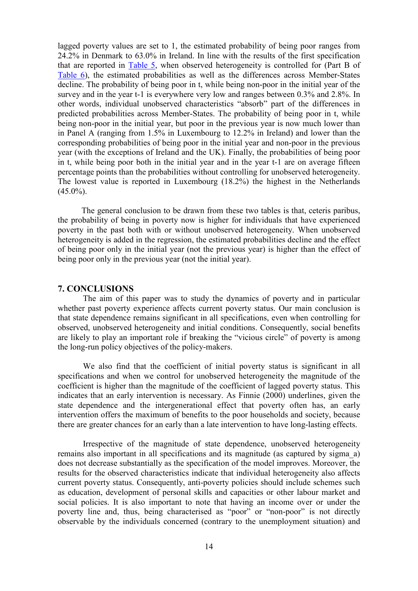lagged poverty values are set to 1, the estimated probability of being poor ranges from 24.2% in Denmark to 63.0% in Ireland. In line with the results of the first specification that are reported in Table 5, when observed heterogeneity is controlled for (Part B of Table 6), the estimated probabilities as well as the differences across Member-States decline. The probability of being poor in t, while being non-poor in the initial year of the survey and in the year t-1 is everywhere very low and ranges between 0.3% and 2.8%. In other words, individual unobserved characteristics "absorb" part of the differences in predicted probabilities across Member-States. The probability of being poor in t, while being non-poor in the initial year, but poor in the previous year is now much lower than in Panel A (ranging from 1.5% in Luxembourg to 12.2% in Ireland) and lower than the corresponding probabilities of being poor in the initial year and non-poor in the previous year (with the exceptions of Ireland and the UK). Finally, the probabilities of being poor in t, while being poor both in the initial year and in the year t-1 are on average fifteen percentage points than the probabilities without controlling for unobserved heterogeneity. The lowest value is reported in Luxembourg (18.2%) the highest in the Netherlands  $(45.0\%)$ .

The general conclusion to be drawn from these two tables is that, ceteris paribus, the probability of being in poverty now is higher for individuals that have experienced poverty in the past both with or without unobserved heterogeneity. When unobserved heterogeneity is added in the regression, the estimated probabilities decline and the effect of being poor only in the initial year (not the previous year) is higher than the effect of being poor only in the previous year (not the initial year).

#### **7. CONCLUSIONS**

The aim of this paper was to study the dynamics of poverty and in particular whether past poverty experience affects current poverty status. Our main conclusion is that state dependence remains significant in all specifications, even when controlling for observed, unobserved heterogeneity and initial conditions. Consequently, social benefits are likely to play an important role if breaking the "vicious circle" of poverty is among the long-run policy objectives of the policy-makers.

We also find that the coefficient of initial poverty status is significant in all specifications and when we control for unobserved heterogeneity the magnitude of the coefficient is higher than the magnitude of the coefficient of lagged poverty status. This indicates that an early intervention is necessary. As Finnie (2000) underlines, given the state dependence and the intergenerational effect that poverty often has, an early intervention offers the maximum of benefits to the poor households and society, because there are greater chances for an early than a late intervention to have long-lasting effects.

Irrespective of the magnitude of state dependence, unobserved heterogeneity remains also important in all specifications and its magnitude (as captured by sigma\_a) does not decrease substantially as the specification of the model improves. Moreover, the results for the observed characteristics indicate that individual heterogeneity also affects current poverty status. Consequently, anti-poverty policies should include schemes such as education, development of personal skills and capacities or other labour market and social policies. It is also important to note that having an income over or under the poverty line and, thus, being characterised as "poor" or "non-poor" is not directly observable by the individuals concerned (contrary to the unemployment situation) and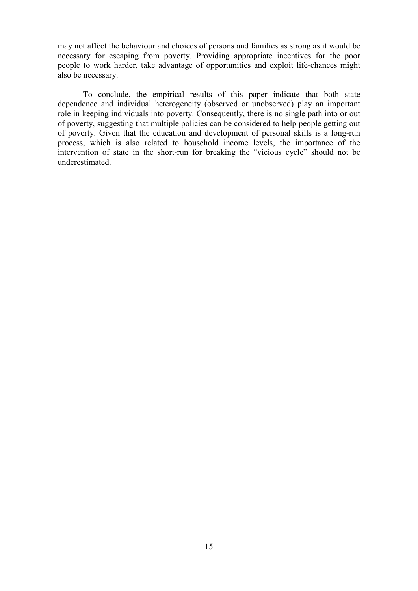may not affect the behaviour and choices of persons and families as strong as it would be necessary for escaping from poverty. Providing appropriate incentives for the poor people to work harder, take advantage of opportunities and exploit life-chances might also be necessary.

To conclude, the empirical results of this paper indicate that both state dependence and individual heterogeneity (observed or unobserved) play an important role in keeping individuals into poverty. Consequently, there is no single path into or out of poverty, suggesting that multiple policies can be considered to help people getting out of poverty. Given that the education and development of personal skills is a long-run process, which is also related to household income levels, the importance of the intervention of state in the short-run for breaking the "vicious cycle" should not be underestimated.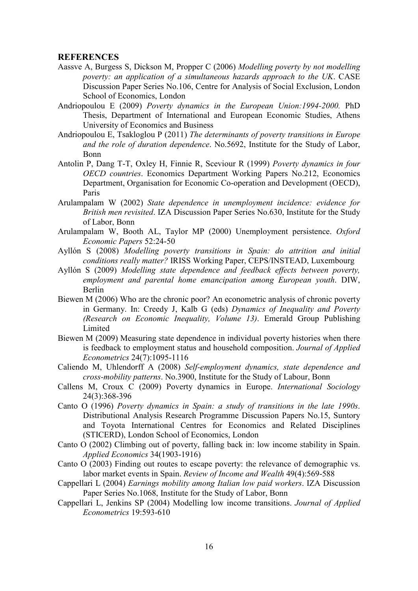#### **REFERENCES**

- Aassve A, Burgess S, Dickson M, Propper C (2006) *Modelling poverty by not modelling poverty: an application of a simultaneous hazards approach to the UK*. CASE Discussion Paper Series No.106, Centre for Analysis of Social Exclusion, London School of Economics, London
- Andriopoulou E (2009) *Poverty dynamics in the European Union:1994-2000.* PhD Thesis, Department of International and European Economic Studies, Athens University of Economics and Business
- Andriopoulou E, Tsakloglou P (2011) *The determinants of poverty transitions in Europe and the role of duration dependence*. No.5692, Institute for the Study of Labor, Bonn
- Antolin P, Dang T-T, Oxley H, Finnie R, Sceviour R (1999) *Poverty dynamics in four OECD countries*. Economics Department Working Papers No.212, Economics Department, Organisation for Economic Co-operation and Development (OECD), Paris
- Arulampalam W (2002) *State dependence in unemployment incidence: evidence for British men revisited*. IZA Discussion Paper Series No.630, Institute for the Study of Labor, Bonn
- Arulampalam W, Booth AL, Taylor MP (2000) Unemployment persistence. *Oxford Economic Papers* 52:24-50
- Ayllón S (2008) *Modelling poverty transitions in Spain: do attrition and initial conditions really matter?* IRISS Working Paper, CEPS/INSTEAD, Luxembourg
- Ayllón S (2009) *Modelling state dependence and feedback effects between poverty, employment and parental home emancipation among European youth*. DIW, Berlin
- Biewen M (2006) Who are the chronic poor? An econometric analysis of chronic poverty in Germany. In: Creedy J, Kalb G (eds) *Dynamics of Inequality and Poverty (Research on Economic Inequality, Volume 13)*. Emerald Group Publishing Limited
- Biewen M (2009) Measuring state dependence in individual poverty histories when there is feedback to employment status and household composition. *Journal of Applied Econometrics* 24(7):1095-1116
- Caliendo M, Uhlendorff A (2008) *Self-employment dynamics, state dependence and cross-mobility patterns*. No.3900, Institute for the Study of Labour, Bonn
- Callens M, Croux C (2009) Poverty dynamics in Europe. *International Sociology* 24(3):368-396
- Canto O (1996) *Poverty dynamics in Spain: a study of transitions in the late 1990s*. Distributional Analysis Research Programme Discussion Papers No.15, Suntory and Toyota International Centres for Economics and Related Disciplines (STICERD), London School of Economics, London
- Canto O (2002) Climbing out of poverty, falling back in: low income stability in Spain. *Applied Economics* 34(1903-1916)
- Canto O (2003) Finding out routes to escape poverty: the relevance of demographic vs. labor market events in Spain. *Review of Income and Wealth* 49(4):569-588
- Cappellari L (2004) *Earnings mobility among Italian low paid workers*. IZA Discussion Paper Series No.1068, Institute for the Study of Labor, Bonn
- Cappellari L, Jenkins SP (2004) Modelling low income transitions. *Journal of Applied Econometrics* 19:593-610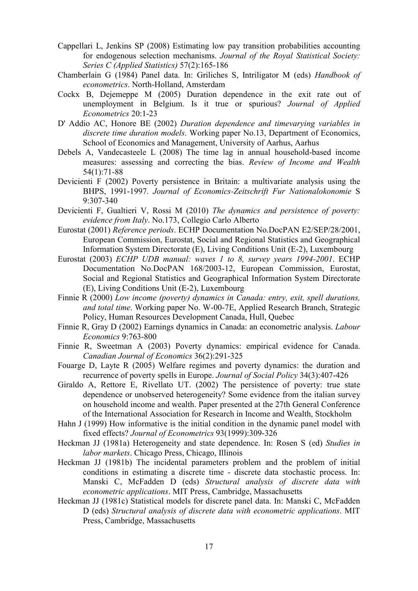- Cappellari L, Jenkins SP (2008) Estimating low pay transition probabilities accounting for endogenous selection mechanisms. *Journal of the Royal Statistical Society: Series C (Applied Statistics)* 57(2):165-186
- Chamberlain G (1984) Panel data. In: Griliches S, Intriligator M (eds) *Handbook of econometrics*. North-Holland, Amsterdam
- Cockx B, Dejemeppe M (2005) Duration dependence in the exit rate out of unemployment in Belgium. Is it true or spurious? *Journal of Applied Econometrics* 20:1-23
- D' Addio AC, Honore BE (2002) *Duration dependence and timevarying variables in discrete time duration models*. Working paper No.13, Department of Economics, School of Economics and Management, University of Aarhus, Aarhus
- Debels A, Vandecasteele L (2008) The time lag in annual household-based income measures: assessing and correcting the bias. *Review of Income and Wealth* 54(1):71-88
- Devicienti F (2002) Poverty persistence in Britain: a multivariate analysis using the BHPS, 1991-1997. *Journal of Economics-Zeitschrift Fur Nationalokonomie* S 9:307-340
- Devicienti F, Gualtieri V, Rossi M (2010) *The dynamics and persistence of poverty: evidence from Italy*. No.173, Collegio Carlo Alberto
- Eurostat (2001) *Reference periods*. ECHP Documentation No.DocPAN E2/SEP/28/2001, European Commission, Eurostat, Social and Regional Statistics and Geographical Information System Directorate (E), Living Conditions Unit (E-2), Luxembourg
- Eurostat (2003) *ECHP UDB manual: waves 1 to 8, survey years 1994-2001*. ECHP Documentation No.DocPAN 168/2003-12, European Commission, Eurostat, Social and Regional Statistics and Geographical Information System Directorate (E), Living Conditions Unit (E-2), Luxembourg
- Finnie R (2000) *Low income (poverty) dynamics in Canada: entry, exit, spell durations, and total time*. Working paper No. W-00-7E, Applied Research Branch, Strategic Policy, Human Resources Development Canada, Hull, Quebec
- Finnie R, Gray D (2002) Earnings dynamics in Canada: an econometric analysis. *Labour Economics* 9:763-800
- Finnie R, Sweetman A (2003) Poverty dynamics: empirical evidence for Canada. *Canadian Journal of Economics* 36(2):291-325
- Fouarge D, Layte R (2005) Welfare regimes and poverty dynamics: the duration and recurrence of poverty spells in Europe. *Journal of Social Policy* 34(3):407-426
- Giraldo A, Rettore E, Rivellato UT. (2002) The persistence of poverty: true state dependence or unobserved heterogeneity? Some evidence from the italian survey on household income and wealth. Paper presented at the 27th General Conference of the International Association for Research in Income and Wealth, Stockholm
- Hahn J (1999) How informative is the initial condition in the dynamic panel model with fixed effects? *Journal of Econometrics* 93(1999):309-326
- Heckman JJ (1981a) Heterogeneity and state dependence. In: Rosen S (ed) *Studies in labor markets*. Chicago Press, Chicago, Illinois
- Heckman JJ (1981b) The incidental parameters problem and the problem of initial conditions in estimating a discrete time - discrete data stochastic process. In: Manski C, McFadden D (eds) *Structural analysis of discrete data with econometric applications*. MIT Press, Cambridge, Massachusetts
- Heckman JJ (1981c) Statistical models for discrete panel data. In: Manski C, McFadden D (eds) *Structural analysis of discrete data with econometric applications*. MIT Press, Cambridge, Massachusetts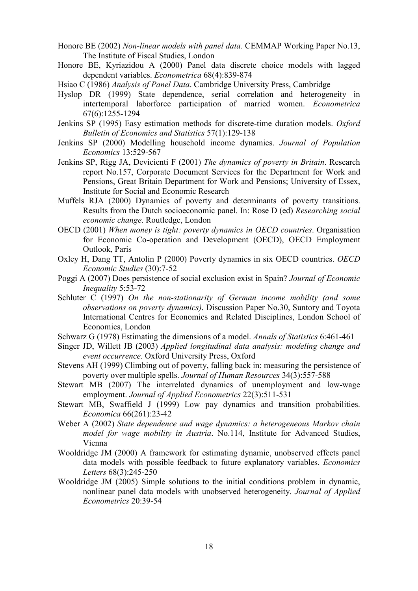- Honore BE (2002) *Non-linear models with panel data*. CEMMAP Working Paper No.13, The Institute of Fiscal Studies, London
- Honore BE, Kyriazidou A (2000) Panel data discrete choice models with lagged dependent variables. *Econometrica* 68(4):839-874
- Hsiao C (1986) *Analysis of Panel Data*. Cambridge University Press, Cambridge
- Hyslop DR (1999) State dependence, serial correlation and heterogeneity in intertemporal laborforce participation of married women. *Econometrica* 67(6):1255-1294
- Jenkins SP (1995) Easy estimation methods for discrete-time duration models. *Oxford Bulletin of Economics and Statistics* 57(1):129-138
- Jenkins SP (2000) Modelling household income dynamics. *Journal of Population Economics* 13:529-567
- Jenkins SP, Rigg JA, Devicienti F (2001) *The dynamics of poverty in Britain*. Research report No.157, Corporate Document Services for the Department for Work and Pensions, Great Britain Department for Work and Pensions; University of Essex, Institute for Social and Economic Research
- Muffels RJA (2000) Dynamics of poverty and determinants of poverty transitions. Results from the Dutch socioeconomic panel. In: Rose D (ed) *Researching social economic change*. Routledge, London
- OECD (2001) *When money is tight: poverty dynamics in OECD countries*. Organisation for Economic Co-operation and Development (OECD), OECD Employment Outlook, Paris
- Oxley H, Dang TT, Antolin P (2000) Poverty dynamics in six OECD countries. *OECD Economic Studies* (30):7-52
- Poggi A (2007) Does persistence of social exclusion exist in Spain? *Journal of Economic Inequality* 5:53-72
- Schluter C (1997) *On the non-stationarity of German income mobility (and some observations on poverty dynamics)*. Discussion Paper No.30, Suntory and Toyota International Centres for Economics and Related Disciplines, London School of Economics, London
- Schwarz G (1978) Estimating the dimensions of a model. *Annals of Statistics* 6:461-461
- Singer JD, Willett JB (2003) *Applied longitudinal data analysis: modeling change and event occurrence*. Oxford University Press, Oxford
- Stevens AH (1999) Climbing out of poverty, falling back in: measuring the persistence of poverty over multiple spells. *Journal of Human Resources* 34(3):557-588
- Stewart MB (2007) The interrelated dynamics of unemployment and low-wage employment. *Journal of Applied Econometrics* 22(3):511-531
- Stewart MB, Swaffield J (1999) Low pay dynamics and transition probabilities. *Economica* 66(261):23-42
- Weber A (2002) *State dependence and wage dynamics: a heterogeneous Markov chain model for wage mobility in Austria*. No.114, Institute for Advanced Studies, Vienna
- Wooldridge JM (2000) A framework for estimating dynamic, unobserved effects panel data models with possible feedback to future explanatory variables. *Economics Letters* 68(3):245-250
- Wooldridge JM (2005) Simple solutions to the initial conditions problem in dynamic, nonlinear panel data models with unobserved heterogeneity. *Journal of Applied Econometrics* 20:39-54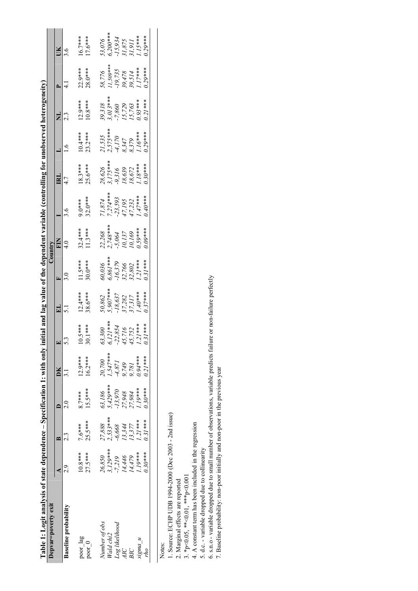| Table 1: Logit analysis of state dependence – Specification 1: with only initial and lag value of the dependent variable (controlling for unobserved heterogeneity) |                      |            |           |                          |                    |                                          |                                          |                                                              |                                                   |                                        |                                                         |                                         |                                                              |                                              |
|---------------------------------------------------------------------------------------------------------------------------------------------------------------------|----------------------|------------|-----------|--------------------------|--------------------|------------------------------------------|------------------------------------------|--------------------------------------------------------------|---------------------------------------------------|----------------------------------------|---------------------------------------------------------|-----------------------------------------|--------------------------------------------------------------|----------------------------------------------|
| Depvar=poverty exit                                                                                                                                                 |                      |            |           |                          |                    |                                          | Country                                  |                                                              |                                                   |                                        |                                                         |                                         |                                                              |                                              |
|                                                                                                                                                                     |                      |            |           | ĎК                       |                    | Ξ                                        | E.                                       | E                                                            |                                                   | ≊                                      |                                                         |                                         |                                                              |                                              |
| <b>Baseline probability</b>                                                                                                                                         |                      |            |           |                          | S.                 |                                          |                                          |                                                              |                                                   |                                        |                                                         |                                         |                                                              |                                              |
| poor_lag                                                                                                                                                            | $10.8***$            | $7.6***$   | $8.7***$  | $12.9***$                | $0.5***$           | $12.4***$                                | $\frac{11.5***}{30.0***}$                | $32.4***$                                                    | $9.0***$                                          | $18.3***$                              | $10.4***$                                               | $12.9***$                               | $22.9***$                                                    | $16.7***$                                    |
| poor 0                                                                                                                                                              | $27.5***$            | $25.5***$  | $15.5***$ | $16.2***$                | $0.1***$           | $8.6***$                                 |                                          | $11.3***$                                                    | $32.0***$                                         | $25.6***$                              | $23.2***$                                               | $10.8***$                               | $28.0***$                                                    | $17.6***$                                    |
| Number of obs                                                                                                                                                       |                      | 27,888     | 63,186    | $20,700$                 | 63,300             |                                          |                                          |                                                              |                                                   |                                        |                                                         |                                         |                                                              |                                              |
| Wald chi2                                                                                                                                                           | $26,850$<br>3,129*** | $2,533***$ | 5,429***  | $1,547***$               | $121***$           | $50,862$<br>5,907***                     | 60,036<br>6,861***                       |                                                              |                                                   |                                        |                                                         | $39,318$<br>3,013***                    |                                                              | $53,076$<br>$6,200***$                       |
| Log likelihood                                                                                                                                                      | $-7,219$             | $-6,668$   | 13,970    |                          |                    | $-18,637$<br>37,282<br>37,317<br>1.40*** | $-16,379$<br>32,766<br>32,802<br>1.21*** | 22,268<br>2,748***<br>-5,064<br>10,137<br>10,169<br>10,59*** | 71,874<br>7,274***<br>-23,593<br>47,195<br>47,232 | 28,626<br>3,175***<br>-9,316<br>18,639 | 21,535<br>2,575***<br>-4,170<br>8,347<br>8,379<br>8,379 | $-7,860$<br>15,729<br>15,763<br>0.93*** | 58,776<br>11,509***<br>-19,735<br>39,514<br>39,514<br>39,514 | $15,934$<br>$31,875$<br>$31,911$<br>$115***$ |
| AIC                                                                                                                                                                 | 14,446               | 13,344     | 27,948    | -4,871<br>9,749<br>9,781 | $22,854$<br>15,716 |                                          |                                          |                                                              |                                                   |                                        |                                                         |                                         |                                                              |                                              |
| BIC                                                                                                                                                                 | 14,479               | 13,377     | 27,984    |                          | 15,752             |                                          |                                          |                                                              |                                                   | $18,672$<br>1.18***                    |                                                         |                                         |                                                              |                                              |
| sigma u                                                                                                                                                             | $1.19***$            | $1.21***$  | $1.19***$ | $9.94***$                | $21***$            |                                          |                                          |                                                              |                                                   |                                        |                                                         |                                         |                                                              |                                              |
| rho                                                                                                                                                                 | $0.30***$            | $0.31***$  | $0.30***$ | $221***$                 | $31***$            | $0.37***$                                | $0.31***$                                | $0.09***$                                                    | $9.40***$                                         | $9.30***$                              | $2.29***$                                               | $0.21***$                               | $0.29***$                                                    | $0.29***$                                    |
|                                                                                                                                                                     |                      |            |           |                          |                    |                                          |                                          |                                                              |                                                   |                                        |                                                         |                                         |                                                              |                                              |

Notes:<br>1. Source: ECHP UDB 1994-2000 (Dec 2003 - 2nd issue)<br>2. Marginal effects are reported<br>3. \*p<0.05, \*\*<0.01, \*\*\*p<0.001 1. Source: ECHP UDB 1994-2000 (Dec 2003 - 2nd issue)

2. Marginal effects are reported

4. A constant term has been included in the regression 4. A constant term has been included in the regression 3. \*p<0.05, \*\*<0.01, \*\*\*p<0.001

5. d.c. - variable dropped due to collinearity 5. d.c. - variable dropped due to collinearity

6. s.n.o - variable dropped due to small number of observations, variable predicts failure or non-failure perfectly 7. Baseline probability: non-poor initially and non-poor in the previous year 6. s.n.o - variable dropped due to small number of observations, variable predicts failure or non-failure perfectly

7. Baseline probability: non-poor initially and non-poor in the previous year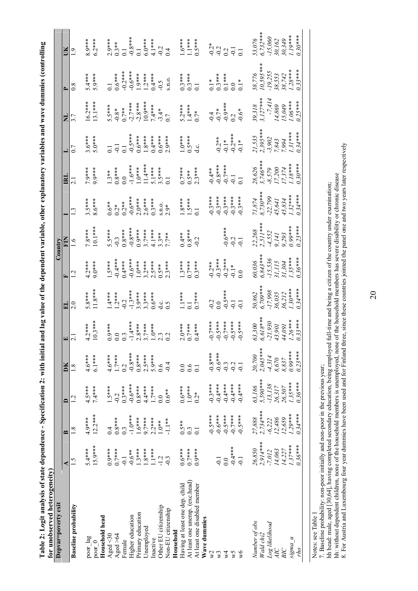| O<br>۱              |   |
|---------------------|---|
|                     |   |
|                     |   |
|                     |   |
|                     |   |
|                     |   |
|                     |   |
|                     |   |
|                     |   |
|                     |   |
| l                   |   |
|                     |   |
|                     |   |
|                     |   |
|                     |   |
| l                   |   |
|                     |   |
|                     |   |
| )                   |   |
|                     |   |
| tial<br>i<br>ı<br>₿ |   |
|                     |   |
| į                   |   |
|                     |   |
|                     |   |
|                     |   |
| l<br>Į<br>I         |   |
|                     |   |
| ť                   |   |
|                     | Ì |
|                     |   |
|                     |   |
| ℷ<br>֠              |   |
|                     |   |

| for unobserved heterogeneity)  |               |                      |                    |                        |                                                                                  |                                                                            |                                                                                                  |                                                                      |                                                   |                                                                                                                                                                                                                                                                                                                                                 |                                                                                    |                                                              |                                                                  |                                                                                       |
|--------------------------------|---------------|----------------------|--------------------|------------------------|----------------------------------------------------------------------------------|----------------------------------------------------------------------------|--------------------------------------------------------------------------------------------------|----------------------------------------------------------------------|---------------------------------------------------|-------------------------------------------------------------------------------------------------------------------------------------------------------------------------------------------------------------------------------------------------------------------------------------------------------------------------------------------------|------------------------------------------------------------------------------------|--------------------------------------------------------------|------------------------------------------------------------------|---------------------------------------------------------------------------------------|
| Depvar=poverty exit            |               |                      |                    |                        |                                                                                  |                                                                            |                                                                                                  | $\mathbb{C}$ ountry                                                  |                                                   |                                                                                                                                                                                                                                                                                                                                                 |                                                                                    |                                                              |                                                                  |                                                                                       |
|                                | ¢             | $\mathbf{\Omega}$    | ≏                  | DК                     |                                                                                  |                                                                            |                                                                                                  | EN                                                                   |                                                   | $\mathbf{\Xi}$                                                                                                                                                                                                                                                                                                                                  |                                                                                    |                                                              |                                                                  |                                                                                       |
| <b>Baseline</b> probability    | $\frac{5}{1}$ | $\overline{8}$       | $\overline{c}$     | $\frac{8}{1}$          |                                                                                  | $\frac{0}{2}$                                                              |                                                                                                  | $\circ$                                                              |                                                   |                                                                                                                                                                                                                                                                                                                                                 |                                                                                    | 3.7                                                          |                                                                  |                                                                                       |
| poor_lag                       | $5.4***$      | $4.9***$             | $4.5***$           | $4.6***$               | $4.2***$                                                                         | $5.8***$                                                                   | $4.2***$                                                                                         | $7.8***$                                                             | $3.5***$                                          | 7.9***                                                                                                                                                                                                                                                                                                                                          | $3.6***$                                                                           |                                                              | $5.4***$                                                         | $8.9***$                                                                              |
| poor 0                         | $15.9***$     | $12.2***$            | 7.4***             | $6.1***$               | $10.3***$                                                                        | $11.8***$                                                                  | $9.0***$                                                                                         | $10.1***$                                                            | $8.6***$                                          | $9.9***$                                                                                                                                                                                                                                                                                                                                        | $5.0***$                                                                           | $\frac{16.2***}{13.1***}$                                    | 5.9***                                                           | $6.2***$                                                                              |
| Household head                 |               |                      |                    |                        |                                                                                  |                                                                            |                                                                                                  |                                                                      |                                                   |                                                                                                                                                                                                                                                                                                                                                 |                                                                                    |                                                              |                                                                  |                                                                                       |
| Aged $\triangleleft$ 0         | $0.9***$      | 0.4                  | $1.5***$           | $4.6***$               | $0.9***$                                                                         | $1.4***$                                                                   | $1.5***$                                                                                         | $5.5***$                                                             | $0.6**$                                           | $1.3**$                                                                                                                                                                                                                                                                                                                                         | $\overline{0.1}$                                                                   |                                                              | $\overline{0.1}$                                                 | $2.9***$                                                                              |
| Aged > 64                      | $0.7***$      |                      | $-0.2$             | $1.7***$<br>0.2        |                                                                                  |                                                                            | $-0.4***$                                                                                        | $-0.3$                                                               | $2*$                                              |                                                                                                                                                                                                                                                                                                                                                 | $\overline{5}$                                                                     | $5.5***$<br>0.8*                                             |                                                                  |                                                                                       |
| Female                         | $-0.1$        | $\frac{0.8***}{0.3}$ | $0.3***$           |                        |                                                                                  | $1.2***$<br>-0.2<br>-1.3***                                                | $0.4***$                                                                                         | $0.8***$                                                             | $0.2**$                                           | $0.8***$                                                                                                                                                                                                                                                                                                                                        | $\overline{0}$ .                                                                   | $0.7***$<br>-2.7***<br>-2.8****<br>10.9****<br>7.4**<br>7.4* | $0.6***$<br>-0.2 ***<br>-0.6 ***                                 | $0.3***$<br>0.1<br>-0.8 ***<br>0.1                                                    |
| Higher education               | $-0.6**$      | $-1.0***$            | $-0.6***$          | $-0.8***$              | $-1.4***$                                                                        |                                                                            | $-0.6***$                                                                                        | $-0.8***$                                                            | $-0.6***$                                         |                                                                                                                                                                                                                                                                                                                                                 | $-0.5***$                                                                          |                                                              |                                                                  |                                                                                       |
| Primary education              | $1.3***$      | $1.6***$             | $0.8***$           | $0.8***$               | $2.8***$                                                                         | $3.9***$                                                                   | $\overline{0}$ ***                                                                               | $0.9***$                                                             | $2.0***$                                          |                                                                                                                                                                                                                                                                                                                                                 | $0.6***$                                                                           |                                                              | $.9***$                                                          |                                                                                       |
| Unemployed                     | $1.8***$      | $9.7***$             | $4.4***$           | $2.5***$               | $, 7***$                                                                         | $3.3***$                                                                   | $3.2***$                                                                                         | $, 7***$                                                             | $2.6***$                                          | $\begin{array}{l} 1.6***\\ 1.0***\\ 1.1**\\ 1.4***\\ 5.1***\\ 6.5***\\ 7.5***\\ 7.5***\\ 7.5***\\ 7.5***\\ 7.5***\\ 7.5***\\ 7.5***\\ 7.5***\\ 7.5***\\ 7.5***\\ 7.5***\\ 7.5***\\ 7.5***\\ 7.5***\\ 7.5***\\ 7.5***\\ 7.5***\\ 7.5***\\ 7.5***\\ 7.5***\\ 7.5***\\ 7.5***\\ 7.5***\\ 7.5***\\ 7.5***\\ 7.5***\\ 7.5***\\ 7.5***\\ 7.5***\\ 7.$ | $1.8***$                                                                           |                                                              | $1.2***$<br>0.4 * * 0.5                                          |                                                                                       |
| Inactive                       | $1.1***$      | $2.2***$             | $1.7***$           | 5.9***                 | $1.0***$                                                                         | $0.6***$                                                                   | $2.5***$                                                                                         | $4.1***$                                                             | $0.3***$                                          |                                                                                                                                                                                                                                                                                                                                                 | $0.4***$                                                                           |                                                              |                                                                  |                                                                                       |
| Other EU citizenship           | $-1.2$        | $1.0**$              | $\frac{0}{2}$      | 0.6                    |                                                                                  |                                                                            | $0.5**$                                                                                          |                                                                      |                                                   |                                                                                                                                                                                                                                                                                                                                                 | $0.6***$                                                                           |                                                              |                                                                  |                                                                                       |
| Non-EU citizenship             | $-0.3$        | $-1.1**$             | $0.6**$            | $-0.4$                 | 0.2                                                                              | 10.5                                                                       | $2.3***$                                                                                         | $3.3**$<br>7.7**                                                     | s.n.o.<br>2.9*                                    |                                                                                                                                                                                                                                                                                                                                                 | $2.9***$                                                                           |                                                              | 5.11.0.                                                          | $6.0$ * * * *<br>4.1 * * * 0.2<br>0.4                                                 |
| Household                      |               |                      |                    |                        |                                                                                  |                                                                            |                                                                                                  |                                                                      |                                                   |                                                                                                                                                                                                                                                                                                                                                 |                                                                                    |                                                              |                                                                  |                                                                                       |
| Having at least one dep. child | $0.6***$      | $0.5**$              | $0.6***$           | 0.0                    | $2.0***$                                                                         | $\frac{1}{1}$ .<br>1.<br>1.<br>1                                           | $1.3***$<br>0.7**                                                                                | $0.4***$<br>$0.8***$<br>$-0.2$                                       | $8***$                                            | $0.7***$                                                                                                                                                                                                                                                                                                                                        | $\frac{1.0***}{0.5***}$                                                            |                                                              |                                                                  |                                                                                       |
| At least one unemp. (exc.head) | $0.7***$      | 0.3                  | $1.0***$           | $0.6$<br>0.1           | $0.7***$                                                                         |                                                                            |                                                                                                  |                                                                      | $1.5***$<br>0.1                                   |                                                                                                                                                                                                                                                                                                                                                 |                                                                                    |                                                              |                                                                  |                                                                                       |
| At least one disabled member   | $0.9***$      | $\overline{C}$       | $0.2*$             |                        | $0.4***$                                                                         | $7***$                                                                     | $.3***$                                                                                          |                                                                      |                                                   | $0.5***$<br>2.3***                                                                                                                                                                                                                                                                                                                              |                                                                                    | 5.2****<br>1.4****<br>0.7*                                   | $\overset{3***}{0.3***}$<br>0.3 ***                              | 1.6***<br>1.1****<br>0.5****                                                          |
| Wave dummies                   |               |                      |                    |                        |                                                                                  |                                                                            |                                                                                                  |                                                                      |                                                   |                                                                                                                                                                                                                                                                                                                                                 |                                                                                    |                                                              |                                                                  |                                                                                       |
| $\mathbb{R}^2$                 |               | $-0.5***$            | $-0.3***$          | $-0.8***$              |                                                                                  |                                                                            |                                                                                                  |                                                                      |                                                   |                                                                                                                                                                                                                                                                                                                                                 |                                                                                    |                                                              |                                                                  |                                                                                       |
| $\mathbb{V}^3$                 | $-0.1$        | $-0.6***$            | $-0.4***$          | $-0.6***$              | ****7.0-0-<br>-0.5****                                                           |                                                                            |                                                                                                  |                                                                      |                                                   |                                                                                                                                                                                                                                                                                                                                                 |                                                                                    | $0.4$<br>$0.7*$<br>$0.9***$<br>$0.2$                         |                                                                  | $-0.2$ *                                                                              |
| ₹                              | 0.0           | $-0.5***$            | $-0.4***$          |                        |                                                                                  |                                                                            |                                                                                                  |                                                                      |                                                   |                                                                                                                                                                                                                                                                                                                                                 |                                                                                    |                                                              |                                                                  |                                                                                       |
| χÅ                             | $-0.4***$     | $-0.7***$            | $-0.4***$          | $-0.3$                 | $-0.5***$                                                                        | $-0.2$<br>0.0<br>0.0 $5***$<br>0.1                                         | $-0.2***$<br>$-0.3***$<br>$-0.2***$<br>$-0.1*$                                                   |                                                                      |                                                   | $-0.4**$<br>$-0.8***$<br>$-0.7***$<br>$-0.7***$                                                                                                                                                                                                                                                                                                 |                                                                                    |                                                              | $0.1**$<br>0.3 * * * *<br>0.1 * * * *                            | $\frac{1}{2}$                                                                         |
| $\sqrt{6}$                     | $-0.1$        | $-0.5***$            | $-0.4***$          | $-0.1$                 | $-0.5***$                                                                        | $\overline{0}$ .                                                           | $\ddot{0}$                                                                                       | $-0.6***$<br>$-0.2$<br>$-0.1$                                        |                                                   | $\overline{1}$                                                                                                                                                                                                                                                                                                                                  | $-0.2**$<br>$-0.1**$<br>$-0.2***$<br>$-0.1*$                                       | $0.6*$                                                       | $\frac{1}{2}$                                                    |                                                                                       |
| Number of obs                  | 26,850        |                      | 63,186<br>5,590*** | $20,700$<br>$2,045***$ |                                                                                  |                                                                            | $\begin{array}{l} 60,036\\ 6,843***\\ -15,536\\ 31,115\\ 31,304\\ 1.35***\\ 1.36*** \end{array}$ |                                                                      | 71,874<br>8,730***<br>-22,799<br>45,834<br>45,834 | $28,626$<br>3,746***<br>-8,579<br>-8,579<br>17,374<br>1.18***                                                                                                                                                                                                                                                                                   |                                                                                    |                                                              |                                                                  | $53,076$<br>$6,732***$<br>$-15,060$<br>$30,162$<br>$30,349$<br>$1.19***$<br>$0.30***$ |
| Wald chi2                      | $2,914***$    | $27,888$<br>2,734*** |                    |                        | $\begin{array}{l} 63,300 \\ 6,618*** \\ -21,930 \\ 43,901 \\ 44,091 \end{array}$ | $50,862$<br>$6,709$ ***<br>$-17,998$<br>$36,035$<br>$36,212$<br>$1.30$ *** |                                                                                                  | $22,268$<br>$2,511***$<br>$4,552$<br>$9,141$<br>$9,293$<br>$0.99***$ |                                                   |                                                                                                                                                                                                                                                                                                                                                 | $21,535$<br>$2,395***$<br>$-3,902$<br>$7,843$<br>$7,994$<br>$1,31***$<br>$0.34***$ | $39,318$<br>3,127***<br>17,414<br>15,049<br>15,049           | $58,776$<br>10,595***<br>-19,255<br>38,553<br>38,742<br>1.28**** |                                                                                       |
| Log likelihood                 | $-7,012$      | $-6,222$             | $-13,138$          | $-4,314$               |                                                                                  |                                                                            |                                                                                                  |                                                                      |                                                   |                                                                                                                                                                                                                                                                                                                                                 |                                                                                    |                                                              |                                                                  |                                                                                       |
| AIC                            | 14,063        |                      | 26,317             | 8,670                  |                                                                                  |                                                                            |                                                                                                  |                                                                      |                                                   |                                                                                                                                                                                                                                                                                                                                                 |                                                                                    |                                                              |                                                                  |                                                                                       |
| BIC                            | 14,227        | 12,486<br>12,659     | 26,507             | 8,837                  |                                                                                  |                                                                            |                                                                                                  |                                                                      |                                                   |                                                                                                                                                                                                                                                                                                                                                 |                                                                                    |                                                              |                                                                  |                                                                                       |
| $n_{sum}$                      | $1.37***$     | $1.29***$            | $1.35***$          | $0.99***$              | $1.26***$                                                                        |                                                                            |                                                                                                  |                                                                      |                                                   |                                                                                                                                                                                                                                                                                                                                                 |                                                                                    |                                                              |                                                                  |                                                                                       |
| oyı                            | $0.36***$     | $0.34***$            | $0.36***$          | $0.23***$              | $2.33***$                                                                        | $9.34***$                                                                  |                                                                                                  | $23***$                                                              | $.34***$                                          |                                                                                                                                                                                                                                                                                                                                                 |                                                                                    | $0.25***$                                                    |                                                                  |                                                                                       |
|                                |               |                      |                    |                        |                                                                                  |                                                                            |                                                                                                  |                                                                      |                                                   |                                                                                                                                                                                                                                                                                                                                                 |                                                                                    |                                                              |                                                                  |                                                                                       |

Notes: see Table 1 Notes: see Table 1

7. Baseline probability: non-poor initially and non-poor in the previous year;

7. Baseline probability: non-poor initially and non-poor in the previous year;<br>hh head: male, aged [30,64], having completed secondary education, being employed full-time and being a citizen of the country under examinatio 8. For Austria and Luxembourg four year dummies have been used and for Finland three, since these countries jointed the panel one and two years later respectively hh: without dependent children, none of the household members is unemployed, none of the household members has severe disability or chronic disease hh head: male, aged [30,64], having completed secondary education, being employed full-time and being a citizen of the country under examination;

20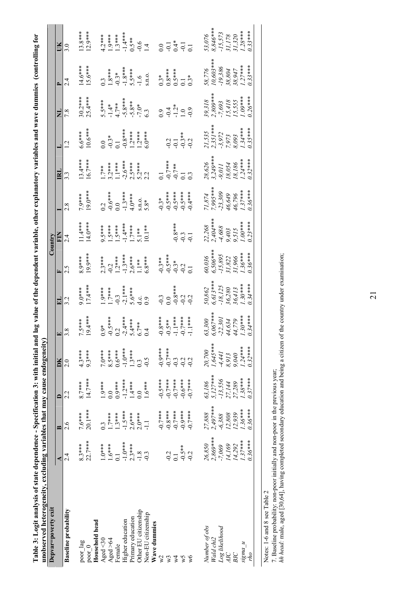| ĵ<br>5<br>0<br>i<br>l<br>$\ddot{\phantom{a}}$<br>)<br>ř<br><b>Hall</b><br>¢<br>į<br>ì | P<br>ı<br>į |
|---------------------------------------------------------------------------------------|-------------|
|                                                                                       |             |
| ו<br>ו                                                                                |             |
| ł<br>j                                                                                |             |
| )<br>!<br>i.                                                                          | ۰,<br>تا    |

| Depvar=poverty exit                                     |                  |                      |                        |                    |                                    |                  |                        | Country                             |                    |                                  |                              |                                          |                      |                                              |
|---------------------------------------------------------|------------------|----------------------|------------------------|--------------------|------------------------------------|------------------|------------------------|-------------------------------------|--------------------|----------------------------------|------------------------------|------------------------------------------|----------------------|----------------------------------------------|
|                                                         | ≺                | R                    | $\mathbf{r}$           | DК                 | $\Box$                             | 님                | Ŀ                      | EN                                  |                    | E                                |                              | Ę                                        | Δ                    | ŰЮ                                           |
| <b>Baseline</b> probability                             | 2.4              | 2.6                  | 2.2                    | 2.0                | 3.8                                | 3.2              | 2.5                    | $\frac{4}{3}$                       | 2.8                | 3.3                              |                              | 7.8                                      | 24                   | 3.0                                          |
| $\ensuremath{\text{poor}\,}\xspace_\text{-} \text{lag}$ | $8.3***$         | $7.6***$             | $8.7***$               |                    | $5***$                             | $9.0***$         | $8.9***$               |                                     | 7.9***             | $13.4***$                        | $6.6***$                     |                                          | $4.6***$             | $13.8***$                                    |
| poor 0                                                  | $22.7***$        | 20.1***              | $14.7***$              | $4.3***$<br>9.3*** | $9.4***$                           | 17.4***          | 19.9***                | $\frac{1}{11}$<br>$\frac{4***}{14}$ | $9.0***$           | 16.7***                          | $10.6***$                    | $30.2***$<br>25.4 ***                    | $.5.6***$            | $12.9***$                                    |
| Household head                                          |                  |                      |                        |                    |                                    |                  |                        |                                     |                    |                                  |                              |                                          |                      |                                              |
| Aged $\triangleleft$ 30                                 | $1.0***$         | $0.\overline{3}$     | $1.9***$               | $7.0***$           | $0.9*$                             | $1.9***$         | $2.3***$               | $9.5***$                            | 0.2                | $7**$                            | $\overline{0.0}$             | 5.5***                                   | $0.\overline{3}$     | $4.2***$                                     |
| Aged >64                                                | $1.6***$         | $1.7***$             | $\overline{0.0}$       | 8.5***             |                                    | $1.7***$         | $-0.2$                 | $1.5***$                            | $-0.6***$          | $3.2***$                         | $-0.3*$                      | $-1.4*$                                  | $1.8***$             | $1.9***$                                     |
| Female                                                  | $\overline{c}$   | $1.3***$             | $0.9***$               | $0.6***$           |                                    | $-0.3$           | $1.2***$               | $-5***$                             |                    | $\left[ .1** \right]$            | $\overline{0}$ .             |                                          |                      | $1.3***$                                     |
| Higher education                                        | $-1.0***$        | $-1.5***$            | $-1.2***$              | $-1.0***$          | $-0.5***$<br>$0.2$<br>$-2.4***$    | $-2.1***$        | $-1.3***$              | $-1.4***$                           | $0.0$<br>-1.3***   | $-2.6***$                        | $-0.8***$                    |                                          | $-0.3*$<br>$-1.8***$ | $-1.4***$                                    |
| Primary education                                       | $2.3***$         | $2.6***$             | $1.4***$               |                    | $5.4***$                           | 5.6***           | $2.6***$               | $1.7***$                            | $4.0***$           | $2.5***$                         | $1.2***$                     |                                          | $5.5***$             | $0.5**$                                      |
| Other EU citizenship                                    | $-1.8$           | $2.0***$             | 0.0                    | $1.3***$<br>0.3    | $6.7**$<br>0.4                     | $rac{c}{0.9}$    | $\frac{1}{1}$ **       | $5.1**$                             | S.D.O.             | $5.2***$<br>2.2                  | $1.2***$<br>6.0***           | $4.7**$<br>-5.8 ***<br>-5.8 **<br>-7.0 * | $-1.6$               | $-0.6$<br>1.4                                |
| Non-EU citizenship                                      |                  | $\overline{a}$       | $1.6***$               | $-0.5$             |                                    |                  | $6.8***$               | $10.1**$                            | $5.8*$             |                                  |                              |                                          | S.I.O.               |                                              |
| Wave dummies                                            |                  |                      |                        |                    |                                    |                  |                        |                                     |                    |                                  |                              |                                          |                      |                                              |
| $\sqrt{2}$                                              |                  | $-0.7$ ***           | $-0.5***$              |                    |                                    | $-0.3$           | $-0.3**$               |                                     | $-0.3*$            |                                  |                              | $\overline{0}$ .                         | $0.3*$               | 0.0                                          |
| w3                                                      | $-0.2$           | $-0.8***$            | $-0.7***$              | $****0.0$          | $-0.8$ ***<br>-0.5 ***<br>-1.1 *** | 0.0              | $-0.5***$              |                                     | $-0.5***$          | $-0.7***$                        | 0.2                          |                                          | $0.8***$             |                                              |
| λ4                                                      | $\overline{0.1}$ | $-0.7***$            |                        |                    |                                    | $-0.8***$        |                        | $0.8***$                            |                    |                                  |                              | $-1.2*$<br>$-1.2*$                       | $0.5***$             |                                              |
| χÅ                                                      | $-0.5**$         | $-0.9***$            | $***$<br>$0.0$<br>$-1$ | $-0.3$             | $-0.7***$                          | $-0.2$           | $-0.3*$                | $-0.3$                              | $-0.5***$          | $-0.7**$<br>0.1                  | $-0.1$<br>$-0.3**$<br>$-0.2$ |                                          |                      | $-1$<br>$-1$<br>$-1$<br>$-1$<br>$-1$<br>$-1$ |
| $\sqrt{6}$                                              | $-0.2$           | $-0.7***$            | $-0.7***$              | $-0.2$             | $-1.1***$                          | $-0.2$           | $\overline{C}$         | $-0.1$                              | $-0.4***$          | $0.\overline{3}$                 |                              | $-0.9$                                   | $0.3*$               |                                              |
| Number of obs                                           | 26,850           |                      |                        | 20,700             | 63,300                             | 50,862           |                        |                                     |                    |                                  |                              |                                          |                      |                                              |
| Wald chi2                                               | $2,869***$       | $27,888$<br>2,497*** | $63,186$<br>5,127***   | $1,645***$         | 5,067****                          | $6.613***$       | $60,036$<br>$6,506***$ | $22,268$<br>2,404***                | 71,874<br>7,995*** | $28,626$<br>3,249***             | $21,535$<br>$2,351***$       | $39,318$<br>2,809***                     | 58,776<br>10,603**** | $53,076$<br>$8,846***$                       |
| Log likelihood                                          | $-7,069$         | $-6,388$             | $-13,556$              | -4,441             | $-22,301$                          | $-18,125$        |                        | $-4,688$                            | $-23,309$          |                                  | $-3,972$                     |                                          | $-19,386$            |                                              |
| AIC                                                     | 14,169           | 12,808               | 27,144                 | 8,913              | 44,634                             | 36,280<br>36,413 | $-15,895$<br>31,822    | 9,403                               | 46,649             | $-9,011$<br>$18,054$<br>$18,186$ | 7,973                        | $-7,693$<br>15,418<br>15,555             | 38,804               | $-15,573$<br>31,178                          |
| BIC                                                     | 14,292           | 12,939               | 27,289                 | $9,040$<br>1.24*** | 44,779                             |                  | 31,966                 | 9,515                               | 46,796             |                                  | $8,093$<br>1.34***           |                                          | 38,947               | $31,320$<br>$1.28***$                        |
| $n_{S}$ ma                                              | $1.37***$        | $1.36***$            | $1.38***$              |                    | $1.30***$                          | $1.30***$        | $1.36***$              | $1.00***$                           | $1.37***$          | $1.24***$                        |                              | $1.09***$                                | $1.27***$            |                                              |
| oyl                                                     | $0.36***$        | $0.36***$            | $0.37***$              | $0.32***$          | $7.34***$                          | $9.34***$        | $0.36***$              | $2.23***$                           | $9.36***$          | $9.32***$                        | $2.35***$                    | $0.26***$                                | $33***$              | $2.33***$                                    |

Notes: 1-6 and 8 see Table 2

Notes: 1-6 and 8 see Table 2<br>7. Baseline probability: non-poor initially and non-poor in the previous year;<br>*hh head*: male, aged [30,64], having completed secondary education and being a citizen of the country under exam *hh head:* male, aged [30,64], having completed secondary education and being a citizen of the country under examination;7. Baseline probability: non-poor initially and non-poor in the previous year;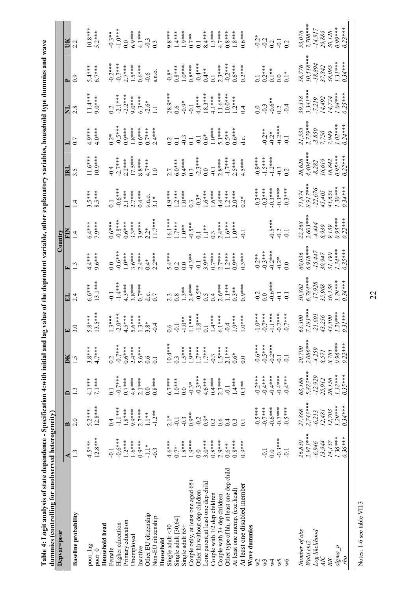| l                                |        |  |
|----------------------------------|--------|--|
|                                  |        |  |
|                                  |        |  |
|                                  |        |  |
|                                  |        |  |
|                                  |        |  |
|                                  |        |  |
|                                  |        |  |
|                                  |        |  |
|                                  |        |  |
|                                  |        |  |
|                                  |        |  |
| )<br>í<br>i<br>ł<br>$\mathbf{r}$ |        |  |
| j<br>$\bar{\mathbf{c}}$          |        |  |
|                                  |        |  |
|                                  |        |  |
|                                  | i<br>I |  |
| I<br>l                           |        |  |
|                                  |        |  |
| I                                |        |  |
|                                  | l      |  |
|                                  | ı      |  |
| )                                |        |  |
|                                  |        |  |
|                                  | J      |  |

| dummies (controlling for unobserved heterogeneity)<br>Depvar=poor |                      |                      |                      |                      |                      |                           |                        | Country                 |                      |                    |                            |                           |                     |                      |
|-------------------------------------------------------------------|----------------------|----------------------|----------------------|----------------------|----------------------|---------------------------|------------------------|-------------------------|----------------------|--------------------|----------------------------|---------------------------|---------------------|----------------------|
|                                                                   | ⋖                    | $\mathbf{r}$         | $\mathbf{\Omega}$    | DK                   | 囯                    | ᆸ                         |                        |                         |                      | $\mathbf{E}$       |                            | E                         |                     |                      |
| <b>Baseline</b> probability                                       | $\overline{13}$      | 2.0                  | $\mathbf{C}$         | 1.5                  | 3.0                  |                           |                        | $\overline{4}$          |                      |                    | 0.7                        |                           | 0.9                 | 2.2                  |
| $\text{pos\_lag}$                                                 | $4.5***$             | $5.2***$             | $4.1***$             | $3.8***$             | $5.8***$             | $6.6***$                  | $4.4***$               | $6.4***$                | $3.5***$             | $11.6***$          | $4.9***$                   | $1.4***$                  | $5.4***$            | $10.8***$            |
| $\text{poor}_0$                                                   | $12.8***$            | $12.8***$            | $7.1***$             | $4.7***$             | $13.5***$            | $13.1***$                 | $9.6***$               | 7.9***                  | 5***                 | $10.9***$          | $4.0***$                   | $9.0**$                   | $6.7***$            | $5.2***$             |
| Household head                                                    |                      |                      |                      |                      |                      |                           |                        |                         |                      |                    |                            |                           |                     |                      |
| $F$ cmale                                                         | $-0.1$               | 0.4                  | $\overline{0}$ .     | 0.2                  | $1.3***$             | $-0.1$                    | 0.0                    | $0.6***$                | $\overline{0}$       | $-0.4$             | $0.2*$                     | 0.2                       | $-0.2***$           | $-0.3**$             |
| Higher education                                                  | $-0.6***$            | $-1.1***$            | $-0.7**$             | $-0.7***$            | $-2.0***$            | $-1.4***$                 | $-0.6***$              | $-0.8***$               | $-0.6***$            | $-2.7***$          | $-0.5***$                  | $-2.1***$                 | $-0.7***$           | $-1.0$ ***           |
| Primary education                                                 | $1.2***$             | $1.8***$             | $0.7***$             | $0.6***$             | $4.5***$             | $4.3***$                  | $1.0***$               | $0.6***$                | $2.1***$             | $2.2***$           | $0.9***$                   | $-2.2***$                 | $2.7***$            | $\overline{0}$ .     |
| Unemployed                                                        | $1.6***$             | $9.9***$             | $4.8***$             | $2.4***$             | $5.6***$             | $3.8***$                  | $3.6***$               | $3.3***$                | $2.7***$             | $17.5***$          | $1.8***$                   | $9.0***$                  | $1.5***$            | $6.9***$             |
| nactive                                                           | $0.9***$             | $2.7***$             | $2.1***$             | $5.6***$             | $1.3***$             | $0.7***$                  | $2.4***$               | $3.9***$                | $0.4***$             | $8.8***$           | $0.6***$                   | $6.3***$                  | $0.6***$            | 4.1***               |
| Other EU citizenship                                              | $\frac{1}{1}$        | $1.1**$              | $\overline{0.0}$     | 0.6                  | $3.8*$               | d.c.                      | $0.4*$                 | $2.2*$                  | S.I.O.               | $4.7***$           | $0.7***$                   | $-2.6*$                   | $-0.6$              | $-0.3$               |
| Non-EU citizenship                                                | $-0.3$               | $-1.2**$             | $0.8***$             | $\overline{0}$       | $-0.4$               |                           | $2.2***$               | l1.7***                 | $3.1*$               | $\overline{10}$    | $2.4***$                   |                           | S.11.O.             | $0.\overline{3}$     |
| Household                                                         |                      |                      |                      |                      |                      |                           |                        |                         |                      |                    |                            |                           |                     |                      |
| Single adult <30                                                  | $4.6***$             | $\frac{1}{2}$        | $6.7***$             | $10.4***$            | 0.6                  |                           | $5.4***$               | $16.1***$               | $4.9***$             | 2.7                | 0.2                        | $28.9***$                 | $-0.8*$             | $9.8***$             |
| Single adult [30,64]                                              | $0.7*$               | $-0.1$               | $1.0***$             | $0.\overline{3}$     | $-0.1$               |                           | 0.2                    | $1.7***$                | $1.2***$             | $6.0***$           |                            | 0.6                       | $0.8***$            | $1.4***$             |
| Single adult 65+                                                  | $1.8***$             | $-0.3$               | 0.0                  | $1.5***$             | $-1.0**$             | $1.3**$                   | 0.0                    | $1.0**$                 | $1.0***$             | $9.4***$           | $-0.3$                     | $-0.9*$                   | $1.0***$            | $1.9***$             |
| Couple only, at least one aged 65+                                | $1.9***$             | $0.9**$              | $-0.3*$              | $1.9***$             | $1.1***$             | $2.4***$                  | $-0.3**$               | $-0.5**$                | $0.\overline{3}$     |                    | $\overline{C}$             | $-0.1$                    | $0.8***$            | $0.7**$              |
| Other hh without dep children                                     | $\overline{0.0}$     | $-0.2$               | $-0.3***$            | $1.7***$             | $-1.8***$            | $-0.5**$                  | $-0.1$                 | $\overline{0}$ .        | $-0.3*$              | $0.3$<br>$-2.3***$ | $-0.1$                     | $4.4***$                  | $-0.4***$           | $\overline{0}$       |
| Lone parent, at least one dep child                               | $3.0***$             | $0.9*$               | $4.6***$             | $1.7***$             | $\overline{0}$ .     | 0.5                       | $3.9***$               | $\frac{1}{2}$           | $1.6***$             | 0.0                | $0.6*$                     | $8.3***$                  | $0.4**$             | $8.4***$             |
| Couple with 1/2 dep children                                      | $0.8***$             | 0.2                  | $0.4***$             | $-0.3$               | $1.4***$             | 0.4                       | $0.7***$               | $0.\overline{3}$        | $1.6***$             | $-0.1$             | $1.0***$                   | $4.1***$                  | $\overline{0}$ .    | $1.3***$             |
| Couple with $3 +$ dep children                                    | $2.9***$             | 0.6                  | $2.3***$             | $1.5***$             | $6.1***$             | $2.6***$                  | $2.7***$               | $2.4***$                | $4.4***$             | $2.8***$           | $5.1***$                   | $\frac{11.6***}{10.0***}$ | $2.3***$            | $4.7***$             |
| Other type of hh, at least one dep child                          | $0.6**$              | 0.4                  | $-1$                 | $2.1***$             | $-0.4$               | $1***$                    | $2***$                 | $1.6***$                | $1.2***$             | $-1.7***$          | $0.5**$                    |                           | $-0.2***$           | $0.8***$             |
| At least one unemp. (exc.head)                                    | $0.8***$             | 0.3                  | $1.4***$             | $0.6*$               | $1.9***$             | $0.3**$                   | $0.9***$               | $\frac{1}{2}$           | $2.0***$             | $2.5***$           | $0.6***$                   |                           | $0.6***$            | $1.8***$             |
| At least one disabled member                                      | $0.9***$             | $\overline{C}$       | $0.3**$              | 0.0                  | $1.0***$             | $0.9***$                  | $0.3***$               |                         | $0.2*$               | $4.5***$           | ਂ<br>ਹ                     | $\frac{1.2**}{0.4}$       | $0.2***$            | $0.6***$             |
| Wave dummies                                                      |                      |                      |                      |                      |                      |                           |                        |                         |                      |                    |                            |                           |                     |                      |
| $\mathbb{V}^2$                                                    |                      | $-0.5***$            | $-0.2***$            | $-0.6***$            | $-1.0***$            | $-0.2$                    | $-0.2**$               |                         | $-0.3***$            | $-0.9***$          |                            | 0.0                       | $\overline{0}$ .    | $-0.2*$              |
| W <sup>3</sup>                                                    | $-0.1$               | $-0.7***$            | $-0.4***$            | $-0.5***$            | $-0.7$ ***           | 0.0                       | $-0.3***$              |                         | $-0.3***$            | $-1.5***$          | $0.2**$                    | $-0.3$                    | $0.2***$            | $-0.2$               |
| $\mathbb{X}$                                                      | 0.0                  | $-0.6***$            | $-0.4***$            | $-0.2***$            | $-1.1$ ***           | $-0.6***$                 | $-0.2***$              | $0.5***$                | $-0.3***$            | $-1.2***$          | $-0.2$ * * * * * 0.1       | $-0.6**$                  | $0.1**$             | 0.2                  |
| χÁ                                                                | $-0.3***$            | $-0.7***$            | $-0.4***$            | $-0.1$               | $-0.7***$            | $-0.1$                    | $-0.2*$                | $rac{2}{9}$ $rac{1}{9}$ | $-0.3***$            | $-0.3$             |                            | 0.2                       | $\overline{0.0}$    | $-0.1$               |
| $\sqrt{6}$                                                        | $-0.1$               | $-0.5***$            | $-0.4***$            | $-0.1$               | $-0.7***$            | $\overline{0}$ .          | 0.0                    |                         | $-0.3***$            | 0.2                |                            | $-0.4$                    | $\frac{1}{2}$       |                      |
|                                                                   |                      |                      |                      |                      |                      |                           |                        |                         |                      |                    |                            |                           |                     |                      |
| Number of obs<br>Wald chi2                                        | $2,973***$<br>26,850 | $2,743***$<br>27,888 | $5,823***$<br>63,186 | $2,086***$<br>20,700 | $7.183***$<br>63,300 | $\frac{50,862}{6,784***}$ | $60,036$<br>$6,918***$ | $22,268$<br>2,603***    | $8.917***$<br>71,874 | 4,404***<br>28,626 | $2,739***$<br>21,535       | $3,341***$<br>39,318      | 58,776<br>10,518*** | $53,076$<br>7,708*** |
|                                                                   | $-6,946$             | $-6,213$             | $-12,929$            | $-4,259$             | $-21,601$            | $-17,928$                 | $-15,447$              | $-4,444$                | $-22,676$            | $-8,282$           |                            |                           |                     | $-14,917$            |
| Log likelihood<br>АIС                                             | 13,944               | 12,481               | 25,912               |                      | 43,256               | 35,908                    | 30,947                 | 8,939                   |                      | 16,619             | $-3,850$<br>7,750<br>7,949 | 14,492<br>$-7,219$        | $-18,894$<br>37,842 | 29,889               |
| ВIС                                                               | 14,157               | 12,703               | 26,156               | $8,571$<br>$8,785$   | 43,500               | 36,138                    | 31,190                 | 9,139                   | 45,405<br>45,653     | 16,842             |                            | 14,724                    | 38,085              | 30,128               |
| $sigma_u$                                                         | $1.36***$            | $1.29***$            | $1.32***$            | $0.96***$            | $1.20***$            | $1.29***$                 | $1.34***$              | $0.95***$               | $1.30***$            | $0.95***$          | $1.02***$                  | $1.04***$                 | $1.31***$           | 0.99***              |
| oyı                                                               | $0.36***$            | $0.34***$            | $0.35***$            | $0.22***$            | $0.31***$            | $0.34***$                 | $0.35***$              | $0.22***$               | $0.34***$            | $0.22***$          | $9.24***$                  | $2.25***$                 | $0.34***$           | $0.23***$            |
|                                                                   |                      |                      |                      |                      |                      |                           |                        |                         |                      |                    |                            |                           |                     |                      |

Notes: 1-6 see table VII.3 Notes: 1-6 see table VII.3

22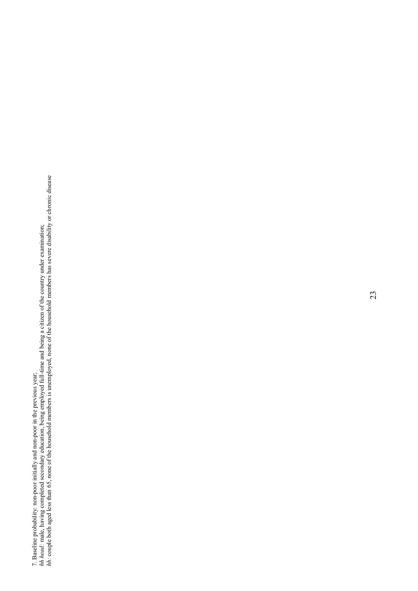7. Baseline probability: non-poor initially and non-poor in the previous year;<br>*hh head*: male, having completed secondary education, being employed full-time and being a citizen of the country under examination;<br>*hh*: cou *hh*: couple both aged less than 65, none of the household members is unemployed, none of the household members has severe disability or chronic disease *hh head:* male, having completed secondary education, being employed full-time and being a citizen of the country under examination; 7. Baseline probability: non-poor initially and non-poor in the previous year;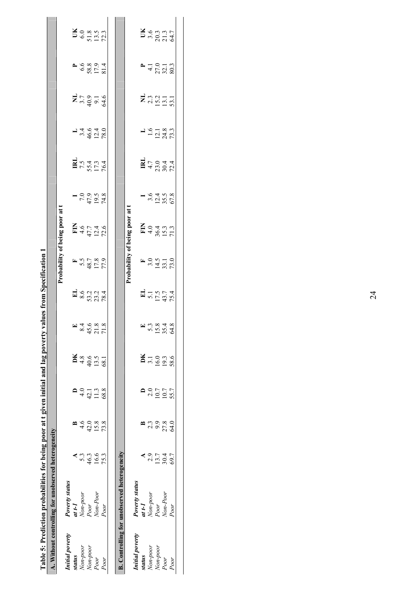|                      | A. Without controlling for unobserved heterogeneity |              |               |               |                             |                        |                               |                                                 |                                            |                                      |                                                                                              |                                      |                                 |                                       |                                                                         |
|----------------------|-----------------------------------------------------|--------------|---------------|---------------|-----------------------------|------------------------|-------------------------------|-------------------------------------------------|--------------------------------------------|--------------------------------------|----------------------------------------------------------------------------------------------|--------------------------------------|---------------------------------|---------------------------------------|-------------------------------------------------------------------------|
|                      |                                                     |              |               |               |                             |                        |                               |                                                 | Probability of being poor at t             |                                      |                                                                                              |                                      |                                 |                                       |                                                                         |
| Initial poverty      | <b>Poverty status</b>                               |              |               |               |                             |                        |                               |                                                 |                                            |                                      |                                                                                              |                                      |                                 |                                       |                                                                         |
| status               | $u$ t-1                                             |              |               |               |                             |                        |                               |                                                 |                                            |                                      |                                                                                              |                                      |                                 |                                       |                                                                         |
| Non-poor             | Non-poor                                            | 5.3          | $\frac{6}{4}$ | $\frac{1}{4}$ |                             |                        |                               |                                                 |                                            |                                      |                                                                                              |                                      |                                 |                                       |                                                                         |
| Non-poor             | Poor                                                |              | 42.0          | 42.1          |                             |                        |                               |                                                 |                                            |                                      |                                                                                              |                                      |                                 |                                       |                                                                         |
| Poor                 | Non-Poor                                            | 46.3<br>16.6 | 15.8          | 11.3          | $\frac{148}{49.5}$<br>49.55 | E 34688<br>8458<br>775 |                               | F<br>5.5<br>6.7<br>5.7<br>5<br>7<br>7<br>7<br>9 | $F = 47.7$<br>$47.74$<br>$47.46$<br>$72.6$ | $-7,00,00$<br>$-7,00,5$<br>$-7,00,8$ | $\mathbb{R}^{7.4}_{5.4}$<br>$7.44$<br>$7.44$<br>$7.44$                                       | $14.640$<br>$46.40$<br>$78.0$        | <b>H</b> <sub>53</sub><br>35955 | <b>P</b> 6.68<br>58.8<br>52.7<br>53.1 | $\sum_{6}^{8}$<br>$\sum_{5}^{8}$<br>$\sum_{1}^{7}$                      |
| Poor                 | Poor                                                | 75.3         | 73.8          | 68.8          |                             |                        |                               |                                                 |                                            |                                      |                                                                                              |                                      |                                 |                                       |                                                                         |
|                      |                                                     |              |               |               |                             |                        |                               |                                                 |                                            |                                      |                                                                                              |                                      |                                 |                                       |                                                                         |
|                      | <b>B.</b> Controlling for unobserved heterogeneity  |              |               |               |                             |                        |                               |                                                 |                                            |                                      |                                                                                              |                                      |                                 |                                       |                                                                         |
|                      |                                                     |              |               |               |                             |                        |                               |                                                 | Probability of being poor at t             |                                      |                                                                                              |                                      |                                 |                                       |                                                                         |
| Initial poverty      | <b>Poverty status</b>                               |              |               |               |                             |                        |                               |                                                 |                                            |                                      |                                                                                              |                                      |                                 |                                       |                                                                         |
| status               | $I-tI$                                              |              |               |               |                             |                        |                               |                                                 |                                            |                                      |                                                                                              |                                      |                                 |                                       |                                                                         |
|                      | Non-poor                                            | 2.9          | 2.3           | 2.0           | $\frac{16.0}{16.0}$         |                        |                               |                                                 |                                            |                                      |                                                                                              |                                      |                                 |                                       |                                                                         |
| Non-poor<br>Non-poor | Poor                                                | 13.7         | 9.9           | 10.7          |                             |                        |                               |                                                 |                                            |                                      |                                                                                              |                                      |                                 |                                       |                                                                         |
| Poor                 | Non-Poor                                            | 30.4         | 27.8          | 10.7          | 19.3<br>58.6                | E 2348<br>2342<br>2542 | EL<br>5.15.7<br>175.7<br>75.4 | F 3.0<br>3.0<br>5.0<br>5.0<br>73.0              | $F = 4.647$<br>$F = 4.647$<br>$F = 5.37$   | $-3.64$<br>3.04.58<br>57.8           | $\mathbf{R}$ + $\frac{1}{2}$ + $\frac{1}{2}$ + $\frac{1}{2}$ + $\frac{1}{2}$ + $\frac{1}{2}$ | $1.6$<br>$1.218$<br>$1.33$<br>$73.3$ | $\Xi_{33}^{33}$                 | $-410$<br>$410$<br>$2710$<br>$303$    | $\sum_{n=0}^{\infty}$<br>$\sum_{n=0}^{\infty}$<br>$\sum_{n=0}^{\infty}$ |
| Poor                 | Poor                                                | 69.7         | 64.0          | 55.7          |                             |                        |                               |                                                 |                                            |                                      |                                                                                              |                                      |                                 |                                       |                                                                         |